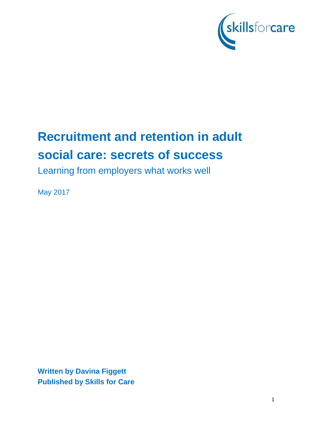

# **Recruitment and retention in adult social care: secrets of success**

Learning from employers what works well

May 2017

**Written by Davina Figgett Published by Skills for Care**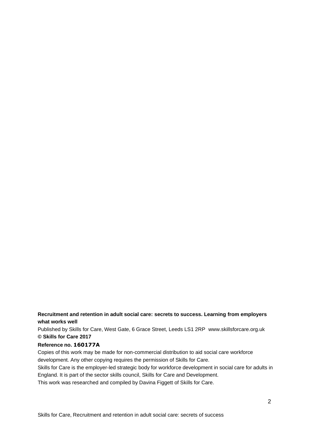#### **Recruitment and retention in adult social care: secrets to success. Learning from employers what works well**

Published by Skills for Care, West Gate, 6 Grace Street, Leeds LS1 2RP [www.skillsforcare.org.uk](http://www.skillsforcare.org.uk/) **© Skills for Care 2017**

#### **Reference no. 160177A**

Copies of this work may be made for non-commercial distribution to aid social care workforce development. Any other copying requires the permission of Skills for Care.

Skills for Care is the employer-led strategic body for workforce development in social care for adults in England. It is part of the sector skills council, Skills for Care and Development.

This work was researched and compiled by Davina Figgett of Skills for Care.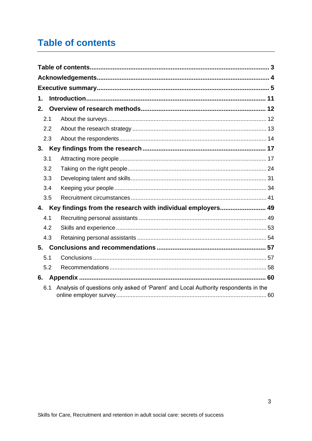## <span id="page-2-0"></span>**Table of contents**

| 1.  |                                                                                     |
|-----|-------------------------------------------------------------------------------------|
| 2.  |                                                                                     |
| 2.1 |                                                                                     |
| 2.2 |                                                                                     |
| 2.3 |                                                                                     |
| 3.  |                                                                                     |
| 3.1 |                                                                                     |
| 3.2 |                                                                                     |
| 3.3 |                                                                                     |
| 3.4 |                                                                                     |
| 3.5 |                                                                                     |
| 4.  | Key findings from the research with individual employers 49                         |
| 4.1 |                                                                                     |
| 4.2 |                                                                                     |
| 4.3 |                                                                                     |
| 5.  |                                                                                     |
| 5.1 |                                                                                     |
| 5.2 |                                                                                     |
|     |                                                                                     |
| 6.1 | Analysis of questions only asked of 'Parent' and Local Authority respondents in the |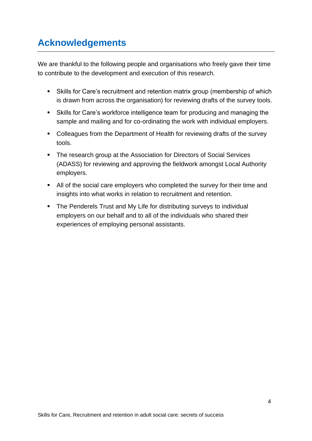## <span id="page-3-0"></span>**Acknowledgements**

We are thankful to the following people and organisations who freely gave their time to contribute to the development and execution of this research.

- Skills for Care's recruitment and retention matrix group (membership of which is drawn from across the organisation) for reviewing drafts of the survey tools.
- Skills for Care's workforce intelligence team for producing and managing the sample and mailing and for co-ordinating the work with individual employers.
- Colleagues from the Department of Health for reviewing drafts of the survey tools.
- The research group at the Association for Directors of Social Services (ADASS) for reviewing and approving the fieldwork amongst Local Authority employers.
- All of the social care employers who completed the survey for their time and insights into what works in relation to recruitment and retention.
- The Penderels Trust and My Life for distributing surveys to individual employers on our behalf and to all of the individuals who shared their experiences of employing personal assistants.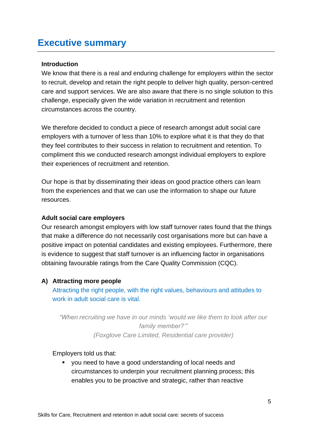## <span id="page-4-0"></span>**Executive summary**

#### **Introduction**

We know that there is a real and enduring challenge for employers within the sector to recruit, develop and retain the right people to deliver high quality, person-centred care and support services. We are also aware that there is no single solution to this challenge, especially given the wide variation in recruitment and retention circumstances across the country.

We therefore decided to conduct a piece of research amongst adult social care employers with a turnover of less than 10% to explore what it is that they do that they feel contributes to their success in relation to recruitment and retention. To compliment this we conducted research amongst individual employers to explore their experiences of recruitment and retention.

Our hope is that by disseminating their ideas on good practice others can learn from the experiences and that we can use the information to shape our future resources.

#### **Adult social care employers**

Our research amongst employers with low staff turnover rates found that the things that make a difference do not necessarily cost organisations more but can have a positive impact on potential candidates and existing employees. Furthermore, there is evidence to suggest that staff turnover is an influencing factor in organisations obtaining favourable ratings from the Care Quality Commission (CQC).

#### **A) Attracting more people**

Attracting the right people, with the right values, behaviours and attitudes to work in adult social care is vital.

*"When recruiting we have in our minds 'would we like them to look after our family member?'" (Foxglove Care Limited, Residential care provider)*

Employers told us that:

■ you need to have a good understanding of local needs and circumstances to underpin your recruitment planning process; this enables you to be proactive and strategic, rather than reactive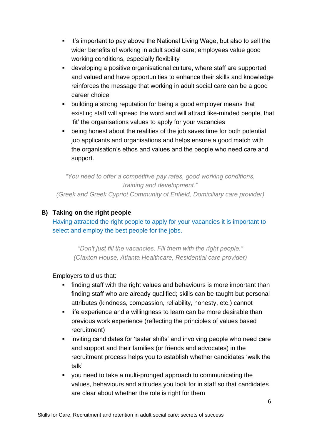- it's important to pay above the National Living Wage, but also to sell the wider benefits of working in adult social care; employees value good working conditions, especially flexibility
- developing a positive organisational culture, where staff are supported and valued and have opportunities to enhance their skills and knowledge reinforces the message that working in adult social care can be a good career choice
- building a strong reputation for being a good employer means that existing staff will spread the word and will attract like-minded people, that 'fit' the organisations values to apply for your vacancies
- being honest about the realities of the job saves time for both potential job applicants and organisations and helps ensure a good match with the organisation's ethos and values and the people who need care and support.

*"You need to offer a competitive pay rates, good working conditions, training and development." (Greek and Greek Cypriot Community of Enfield, Domiciliary care provider)*

### **B) Taking on the right people**

Having attracted the right people to apply for your vacancies it is important to select and employ the best people for the jobs.

*"Don't just fill the vacancies. Fill them with the right people." (Claxton House, Atlanta Healthcare, Residential care provider)*

Employers told us that:

- finding staff with the right values and behaviours is more important than finding staff who are already qualified; skills can be taught but personal attributes (kindness, compassion, reliability, honesty, etc.) cannot
- life experience and a willingness to learn can be more desirable than previous work experience (reflecting the principles of values based recruitment)
- inviting candidates for 'taster shifts' and involving people who need care and support and their families (or friends and advocates) in the recruitment process helps you to establish whether candidates 'walk the talk'
- you need to take a multi-pronged approach to communicating the values, behaviours and attitudes you look for in staff so that candidates are clear about whether the role is right for them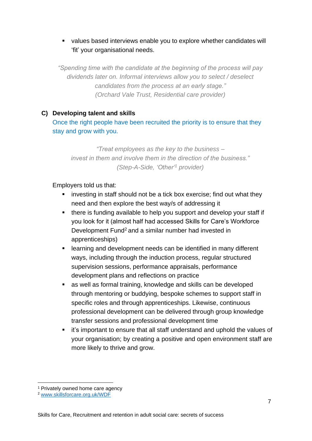### ▪ values based interviews enable you to explore whether candidates will 'fit' your organisational needs.

*"Spending time with the candidate at the beginning of the process will pay dividends later on. Informal interviews allow you to select / deselect candidates from the process at an early stage." (Orchard Vale Trust, Residential care provider)*

### **C) Developing talent and skills**

Once the right people have been recruited the priority is to ensure that they stay and grow with you.

*"Treat employees as the key to the business – invest in them and involve them in the direction of the business." (Step-A-Side, 'Other'<sup>1</sup> provider)*

Employers told us that:

- investing in staff should not be a tick box exercise; find out what they need and then explore the best way/s of addressing it
- there is funding available to help you support and develop your staff if you look for it (almost half had accessed Skills for Care's Workforce Development Fund<sup>2</sup> and a similar number had invested in apprenticeships)
- learning and development needs can be identified in many different ways, including through the induction process, regular structured supervision sessions, performance appraisals, performance development plans and reflections on practice
- as well as formal training, knowledge and skills can be developed through mentoring or buddying, bespoke schemes to support staff in specific roles and through apprenticeships. Likewise, continuous professional development can be delivered through group knowledge transfer sessions and professional development time
- it's important to ensure that all staff understand and uphold the values of your organisation; by creating a positive and open environment staff are more likely to thrive and grow.

<sup>1</sup> Privately owned home care agency

<sup>2</sup> [www.skillsforcare.org.uk/WDF](http://www.skillsforcare.org.uk/WDF)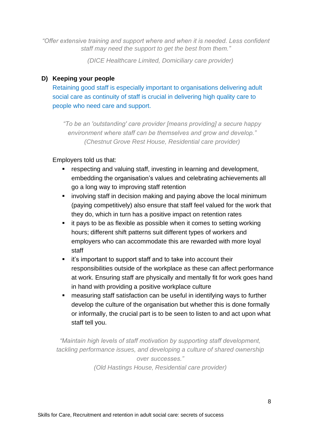*"Offer extensive training and support where and when it is needed. Less confident staff may need the support to get the best from them."*

*(DICE Healthcare Limited, Domiciliary care provider)*

### **D) Keeping your people**

Retaining good staff is especially important to organisations delivering adult social care as continuity of staff is crucial in delivering high quality care to people who need care and support.

*"To be an 'outstanding' care provider [means providing] a secure happy environment where staff can be themselves and grow and develop." (Chestnut Grove Rest House, Residential care provider)*

Employers told us that:

- respecting and valuing staff, investing in learning and development, embedding the organisation's values and celebrating achievements all go a long way to improving staff retention
- involving staff in decision making and paying above the local minimum (paying competitively) also ensure that staff feel valued for the work that they do, which in turn has a positive impact on retention rates
- it pays to be as flexible as possible when it comes to setting working hours; different shift patterns suit different types of workers and employers who can accommodate this are rewarded with more loyal staff
- it's important to support staff and to take into account their responsibilities outside of the workplace as these can affect performance at work. Ensuring staff are physically and mentally fit for work goes hand in hand with providing a positive workplace culture
- measuring staff satisfaction can be useful in identifying ways to further develop the culture of the organisation but whether this is done formally or informally, the crucial part is to be seen to listen to and act upon what staff tell you.

*"Maintain high levels of staff motivation by supporting staff development, tackling performance issues, and developing a culture of shared ownership over successes." (Old Hastings House, Residential care provider)*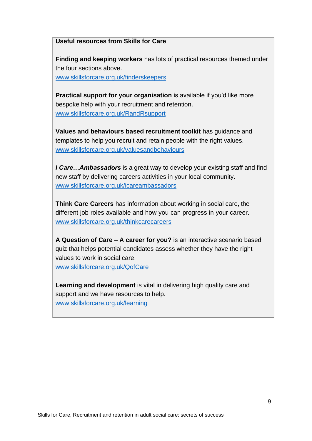#### **Useful resources from Skills for Care**

**Finding and keeping workers** has lots of practical resources themed under the four sections above.

[www.skillsforcare.org.uk/finderskeepers](http://www.skillsforcare.org.uk/finderskeepers)

**Practical support for your organisation** is available if you'd like more bespoke help with your recruitment and retention. [www.skillsforcare.org.uk/RandRsupport](http://www.skillsforcare.org.uk/RandRsupport)

**Values and behaviours based recruitment toolkit** has guidance and templates to help you recruit and retain people with the right values. [www.skillsforcare.org.uk/valuesandbehaviours](http://www.skillsforcare.org.uk/valuesandbehaviours)

*I Care…Ambassadors* is a great way to develop your existing staff and find new staff by delivering careers activities in your local community. [www.skillsforcare.org.uk/icareambassadors](http://www.skillsforcare.org.uk/icareambassadors)

**Think Care Careers** has information about working in social care, the different job roles available and how you can progress in your career. [www.skillsforcare.org.uk/thinkcarecareers](http://www.skillsforcare.org.uk/thinkcarecareers)

**A Question of Care – A career for you?** is an interactive scenario based quiz that helps potential candidates assess whether they have the right values to work in social care. [www.skillsforcare.org.uk/QofCare](http://www.skillsforcare.org.uk/QofCare)

**Learning and development** is vital in delivering high quality care and support and we have resources to help. [www.skillsforcare.org.uk/learning](http://www.skillsforcare.org.uk/learning)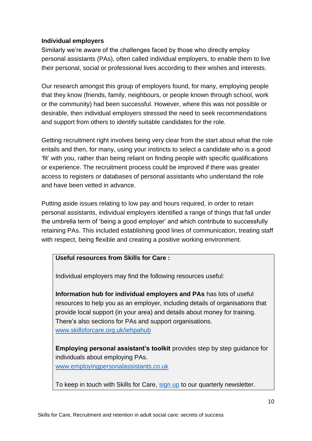### **Individual employers**

Similarly we're aware of the challenges faced by those who directly employ personal assistants (PAs), often called individual employers, to enable them to live their personal, social or professional lives according to their wishes and interests.

Our research amongst this group of employers found, for many, employing people that they know (friends, family, neighbours, or people known through school, work or the community) had been successful. However, where this was not possible or desirable, then individual employers stressed the need to seek recommendations and support from others to identify suitable candidates for the role.

Getting recruitment right involves being very clear from the start about what the role entails and then, for many, using your instincts to select a candidate who is a good 'fit' with you, rather than being reliant on finding people with specific qualifications or experience. The recruitment process could be improved if there was greater access to registers or databases of personal assistants who understand the role and have been vetted in advance.

Putting aside issues relating to low pay and hours required, in order to retain personal assistants, individual employers identified a range of things that fall under the umbrella term of 'being a good employer' and which contribute to successfully retaining PAs. This included establishing good lines of communication, treating staff with respect, being flexible and creating a positive working environment.

### **Useful resources from Skills for Care :**

Individual employers may find the following resources useful:

**Information hub for individual employers and PAs** has lots of useful resources to help you as an employer, including details of organisations that provide local support (in your area) and details about money for training. There's also sections for PAs and support organisations. [www.skillsforcare.org.uk/iehpahub](http://www.skillsforcare.org.uk/iehpahub)

**Employing personal assistant's toolkit** provides step by step guidance for individuals about employing PAs. [www.employingpersonalassistants.co.uk](http://www.employingpersonalassistants.co.uk/)

To keep in touch with Skills for Care, [sign](http://www.skillsforcare.org.uk/Employing-your-own-care-and-support/Sign-up-to-our-newsletter/Sign-up-to-our-newsletter.aspx) up to our quarterly newsletter.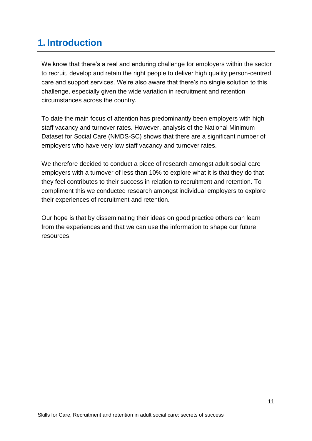## <span id="page-10-0"></span>**1. Introduction**

We know that there's a real and enduring challenge for employers within the sector to recruit, develop and retain the right people to deliver high quality person-centred care and support services. We're also aware that there's no single solution to this challenge, especially given the wide variation in recruitment and retention circumstances across the country.

To date the main focus of attention has predominantly been employers with high staff vacancy and turnover rates. However, analysis of the National Minimum Dataset for Social Care (NMDS-SC) shows that there are a significant number of employers who have very low staff vacancy and turnover rates.

We therefore decided to conduct a piece of research amongst adult social care employers with a turnover of less than 10% to explore what it is that they do that they feel contributes to their success in relation to recruitment and retention. To compliment this we conducted research amongst individual employers to explore their experiences of recruitment and retention.

Our hope is that by disseminating their ideas on good practice others can learn from the experiences and that we can use the information to shape our future resources.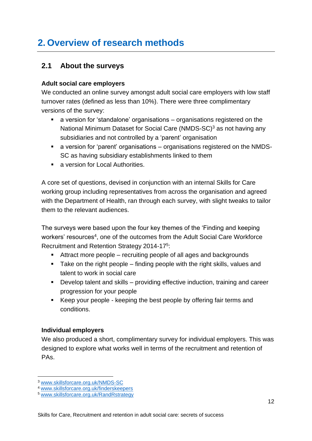## <span id="page-11-0"></span>**2. Overview of research methods**

### <span id="page-11-1"></span>**2.1 About the surveys**

#### **Adult social care employers**

We conducted an online survey amongst adult social care employers with low staff turnover rates (defined as less than 10%). There were three complimentary versions of the survey:

- a version for 'standalone' organisations organisations registered on the National Minimum Dataset for Social Care (NMDS-SC)<sup>3</sup> as not having any subsidiaries and not controlled by a 'parent' organisation
- a version for 'parent' organisations organisations registered on the NMDS-SC as having subsidiary establishments linked to them
- a version for Local Authorities.

A core set of questions, devised in conjunction with an internal Skills for Care working group including representatives from across the organisation and agreed with the Department of Health, ran through each survey, with slight tweaks to tailor them to the relevant audiences.

The surveys were based upon the four key themes of the 'Finding and keeping workers' resources<sup>4</sup>, one of the outcomes from the Adult Social Care Workforce Recruitment and Retention Strategy 2014-17<sup>5</sup>:

- Attract more people recruiting people of all ages and backgrounds
- Take on the right people finding people with the right skills, values and talent to work in social care
- Develop talent and skills providing effective induction, training and career progression for your people
- Keep your people keeping the best people by offering fair terms and conditions.

### **Individual employers**

We also produced a short, complimentary survey for individual employers. This was designed to explore what works well in terms of the recruitment and retention of PAs.

<sup>3</sup> [www.skillsforcare.org.uk/N](http://www.skillsforcare.org.uk/NMDS-SC-intelligence/NMDS-SC/Discover-NMDS-SC.aspx?gclid=CJup3deL-dICFQeNGwodrn0HyQ)MDS-SC

<sup>4</sup> [www.skillsforcare.org.uk/finderskeepers](http://www.skillsforcare.org.uk/finderskeepers)

<sup>5</sup> [www.skillsforcare.org.uk/RandRstrategy](http://www.skillsforcare.org.uk/RandRstrategy)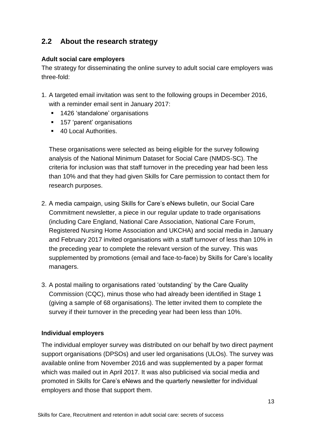### <span id="page-12-0"></span>**2.2 About the research strategy**

### **Adult social care employers**

The strategy for disseminating the online survey to adult social care employers was three-fold:

- 1. A targeted email invitation was sent to the following groups in December 2016, with a reminder email sent in January 2017:
	- 1426 'standalone' organisations
	- 157 'parent' organisations
	- 40 Local Authorities.

These organisations were selected as being eligible for the survey following analysis of the National Minimum Dataset for Social Care (NMDS-SC). The criteria for inclusion was that staff turnover in the preceding year had been less than 10% and that they had given Skills for Care permission to contact them for research purposes.

- 2. A media campaign, using Skills for Care's eNews bulletin, our Social Care Commitment newsletter, a piece in our regular update to trade organisations (including Care England, National Care Association, National Care Forum, Registered Nursing Home Association and UKCHA) and social media in January and February 2017 invited organisations with a staff turnover of less than 10% in the preceding year to complete the relevant version of the survey. This was supplemented by promotions (email and face-to-face) by Skills for Care's locality managers.
- 3. A postal mailing to organisations rated 'outstanding' by the Care Quality Commission (CQC), minus those who had already been identified in Stage 1 (giving a sample of 68 organisations). The letter invited them to complete the survey if their turnover in the preceding year had been less than 10%.

### **Individual employers**

The individual employer survey was distributed on our behalf by two direct payment support organisations (DPSOs) and user led organisations (ULOs). The survey was available online from November 2016 and was supplemented by a paper format which was mailed out in April 2017. It was also publicised via social media and promoted in Skills for Care's eNews and the quarterly newsletter for individual employers and those that support them.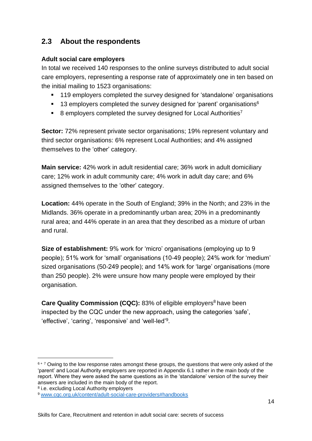### <span id="page-13-0"></span>**2.3 About the respondents**

#### **Adult social care employers**

In total we received 140 responses to the online surveys distributed to adult social care employers, representing a response rate of approximately one in ten based on the initial mailing to 1523 organisations:

- 119 employers completed the survey designed for 'standalone' organisations
- $\blacksquare$  13 employers completed the survey designed for 'parent' organisations<sup>6</sup>
- $\blacksquare$  8 employers completed the survey designed for Local Authorities<sup>7</sup>

**Sector:** 72% represent private sector organisations; 19% represent voluntary and third sector organisations: 6% represent Local Authorities; and 4% assigned themselves to the 'other' category.

**Main service:** 42% work in adult residential care; 36% work in adult domiciliary care; 12% work in adult community care; 4% work in adult day care; and 6% assigned themselves to the 'other' category.

**Location:** 44% operate in the South of England; 39% in the North; and 23% in the Midlands. 36% operate in a predominantly urban area; 20% in a predominantly rural area; and 44% operate in an area that they described as a mixture of urban and rural.

**Size of establishment:** 9% work for 'micro' organisations (employing up to 9 people); 51% work for 'small' organisations (10-49 people); 24% work for 'medium' sized organisations (50-249 people); and 14% work for 'large' organisations (more than 250 people). 2% were unsure how many people were employed by their organisation.

**Care Quality Commission (CQC):** 83% of eligible employers <sup>8</sup> have been inspected by the CQC under the new approach, using the categories 'safe', 'effective', 'caring', 'responsive' and 'well-led'<sup>9</sup>.

 $6 + 7$  Owing to the low response rates amongst these groups, the questions that were only asked of the 'parent' and Local Authority employers are reported in Appendix 6.1 rather in the main body of the report. Where they were asked the same questions as in the 'standalone' version of the survey their answers are included in the main body of the report.

<sup>&</sup>lt;sup>8</sup> i.e. excluding Local Authority employers

<sup>9</sup> [www.cqc.org.uk/content/adult-social-care-providers#handbooks](http://www.cqc.org.uk/content/adult-social-care-providers#handbooks)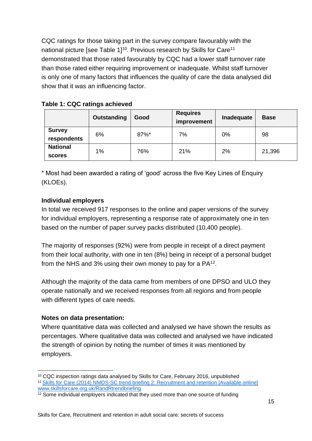CQC ratings for those taking part in the survey compare favourably with the national picture [see Table  $11^{10}$ . Previous research by Skills for Care<sup>11</sup> demonstrated that those rated favourably by CQC had a lower staff turnover rate than those rated either requiring improvement or inadequate. Whilst staff turnover is only one of many factors that influences the quality of care the data analysed did show that it was an influencing factor.

|                              | Outstanding | Good | <b>Requires</b><br>improvement | Inadequate | <b>Base</b> |
|------------------------------|-------------|------|--------------------------------|------------|-------------|
| <b>Survey</b><br>respondents | 6%          | 87%* | 7%                             | 0%         | 98          |
| <b>National</b><br>scores    | 1%          | 76%  | 21%                            | 2%         | 21,396      |

**Table 1: CQC ratings achieved**

\* Most had been awarded a rating of 'good' across the five Key Lines of Enquiry (KLOEs).

### **Individual employers**

In total we received 917 responses to the online and paper versions of the survey for individual employers, representing a response rate of approximately one in ten based on the number of paper survey packs distributed (10,400 people).

The majority of responses (92%) were from people in receipt of a direct payment from their local authority, with one in ten (8%) being in receipt of a personal budget from the NHS and 3% using their own money to pay for a  $PA^{12}$ .

Although the majority of the data came from members of one DPSO and ULO they operate nationally and we received responses from all regions and from people with different types of care needs.

### **Notes on data presentation:**

Where quantitative data was collected and analysed we have shown the results as percentages. Where qualitative data was collected and analysed we have indicated the strength of opinion by noting the number of times it was mentioned by employers.

<sup>10</sup> CQC inspection ratings data analysed by Skills for Care, February 2016, unpublished <sup>11</sup>Skills for Care (2014) NMDS-SC trend briefing 2: Recruitment and retention [Available online] [www.skillsforcare.org.uk/RandRtrendbriefing](http://www.skillsforcare.org.uk/RandRtrendbriefing)

 $12$  Some individual employers indicated that they used more than one source of funding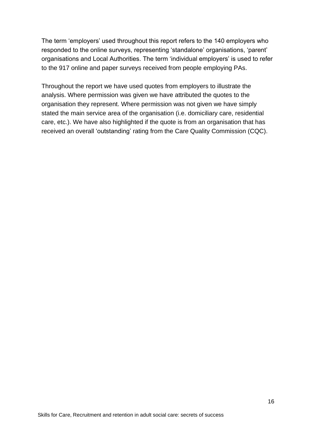The term 'employers' used throughout this report refers to the 140 employers who responded to the online surveys, representing 'standalone' organisations, 'parent' organisations and Local Authorities. The term 'individual employers' is used to refer to the 917 online and paper surveys received from people employing PAs.

Throughout the report we have used quotes from employers to illustrate the analysis. Where permission was given we have attributed the quotes to the organisation they represent. Where permission was not given we have simply stated the main service area of the organisation (i.e. domiciliary care, residential care, etc.). We have also highlighted if the quote is from an organisation that has received an overall 'outstanding' rating from the Care Quality Commission (CQC).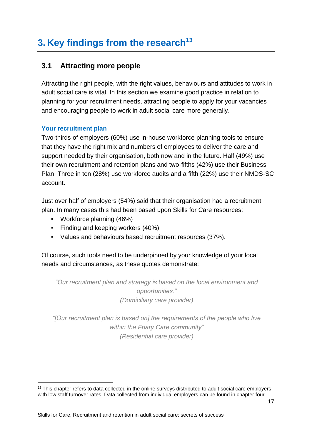## <span id="page-16-0"></span>**3. Key findings from the research<sup>13</sup>**

### <span id="page-16-1"></span>**3.1 Attracting more people**

Attracting the right people, with the right values, behaviours and attitudes to work in adult social care is vital. In this section we examine good practice in relation to planning for your recruitment needs, attracting people to apply for your vacancies and encouraging people to work in adult social care more generally.

### **Your recruitment plan**

Two-thirds of employers (60%) use in-house workforce planning tools to ensure that they have the right mix and numbers of employees to deliver the care and support needed by their organisation, both now and in the future. Half (49%) use their own recruitment and retention plans and two-fifths (42%) use their Business Plan. Three in ten (28%) use workforce audits and a fifth (22%) use their NMDS-SC account.

Just over half of employers (54%) said that their organisation had a recruitment plan. In many cases this had been based upon Skills for Care resources:

- Workforce planning (46%)
- **Finding and keeping workers (40%)**
- Values and behaviours based recruitment resources (37%).

Of course, such tools need to be underpinned by your knowledge of your local needs and circumstances, as these quotes demonstrate:

*"Our recruitment plan and strategy is based on the local environment and opportunities." (Domiciliary care provider)*

*"[Our recruitment plan is based on] the requirements of the people who live within the Friary Care community" (Residential care provider)*

<sup>&</sup>lt;sup>13</sup> This chapter refers to data collected in the online surveys distributed to adult social care employers with low staff turnover rates. Data collected from individual employers can be found in chapter four.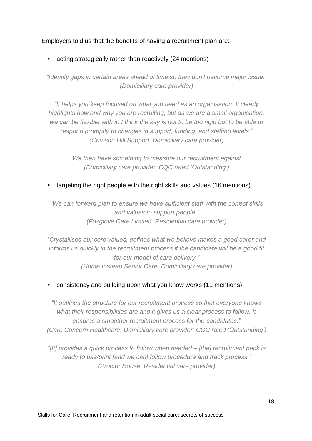### Employers told us that the benefits of having a recruitment plan are:

■ acting strategically rather than reactively (24 mentions)

*"Identify gaps in certain areas ahead of time so they don't become major issue." (Domiciliary care provider)*

*"It helps you keep focused on what you need as an organisation. It clearly highlights how and why you are recruiting, but as we are a small organisation, we can be flexible with it. I think the key is not to be too rigid but to be able to respond promptly to changes in support, funding, and staffing levels." (Crimson Hill Support, Domiciliary care provider)*

*"We then have something to measure our recruitment against" (Domiciliary care provider, CQC rated 'Outstanding')*

targeting the right people with the right skills and values (16 mentions)

*"We can forward plan to ensure we have sufficient staff with the correct skills and values to support people." (Foxglove Care Limited, Residential care provider)*

*"Crystallises our core values, defines what we believe makes a good carer and informs us quickly in the recruitment process if the candidate will be a good fit for our model of care delivery." (Home Instead Senior Care, Domiciliary care provider)*

■ consistency and building upon what you know works (11 mentions)

*"It outlines the structure for our recruitment process so that everyone knows what their responsibilities are and it gives us a clear process to follow. It ensures a smoother recruitment process for the candidates." (Care Concern Healthcare, Domiciliary care provider, CQC rated 'Outstanding')*

*"[It] provides a quick process to follow when needed – [the] recruitment pack is ready to use/print [and we can] follow procedure and track process." (Proctor House, Residential care provider)*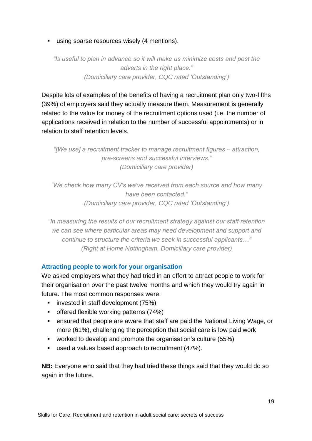**E** using sparse resources wisely (4 mentions).

*"Is useful to plan in advance so it will make us minimize costs and post the adverts in the right place." (Domiciliary care provider, CQC rated 'Outstanding')*

Despite lots of examples of the benefits of having a recruitment plan only two-fifths (39%) of employers said they actually measure them. Measurement is generally related to the value for money of the recruitment options used (i.e. the number of applications received in relation to the number of successful appointments) or in relation to staff retention levels.

*"[We use] a recruitment tracker to manage recruitment figures – attraction, pre-screens and successful interviews." (Domiciliary care provider)*

*"We check how many CV's we've received from each source and how many have been contacted." (Domiciliary care provider, CQC rated 'Outstanding')*

*"In measuring the results of our recruitment strategy against our staff retention we can see where particular areas may need development and support and continue to structure the criteria we seek in successful applicants…" (Right at Home Nottingham, Domiciliary care provider)*

### **Attracting people to work for your organisation**

We asked employers what they had tried in an effort to attract people to work for their organisation over the past twelve months and which they would try again in future. The most common responses were:

- invested in staff development (75%)
- offered flexible working patterns (74%)
- ensured that people are aware that staff are paid the National Living Wage, or more (61%), challenging the perception that social care is low paid work
- worked to develop and promote the organisation's culture (55%)
- used a values based approach to recruitment (47%).

**NB:** Everyone who said that they had tried these things said that they would do so again in the future.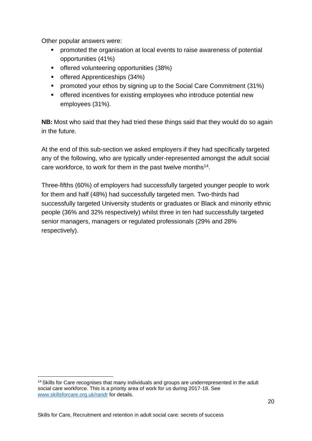Other popular answers were:

- promoted the organisation at local events to raise awareness of potential opportunities (41%)
- offered volunteering opportunities (38%)
- offered Apprenticeships (34%)
- promoted your ethos by signing up to the Social Care Commitment (31%)
- offered incentives for existing employees who introduce potential new employees (31%).

**NB:** Most who said that they had tried these things said that they would do so again in the future.

At the end of this sub-section we asked employers if they had specifically targeted any of the following, who are typically under-represented amongst the adult social care workforce, to work for them in the past twelve months<sup>14</sup>.

Three-fifths (60%) of employers had successfully targeted younger people to work for them and half (48%) had successfully targeted men. Two-thirds had successfully targeted University students or graduates or Black and minority ethnic people (36% and 32% respectively) whilst three in ten had successfully targeted senior managers, managers or regulated professionals (29% and 28% respectively).

<sup>&</sup>lt;sup>14</sup> Skills for Care recognises that many individuals and groups are underrepresented in the adult social care workforce. This is a priority area of work for us during 2017-18. See [www.skillsforcare.org.uk/randr](http://www.skillsforcare.org.uk/randr) for details.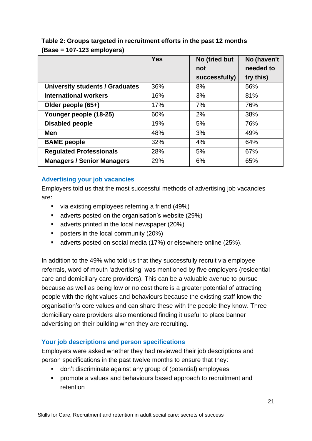|                                        | <b>Yes</b> | No (tried but | No (haven't |
|----------------------------------------|------------|---------------|-------------|
|                                        |            | not           | needed to   |
|                                        |            | successfully) | try this)   |
| <b>University students / Graduates</b> | 36%        | 8%            | 56%         |
| <b>International workers</b>           | 16%        | 3%            | 81%         |
| Older people (65+)                     | 17%        | 7%            | 76%         |
| Younger people (18-25)                 | 60%        | 2%            | 38%         |
| <b>Disabled people</b>                 | 19%        | 5%            | 76%         |
| Men                                    | 48%        | 3%            | 49%         |
| <b>BAME</b> people                     | 32%        | 4%            | 64%         |
| <b>Regulated Professionals</b>         | 28%        | 5%            | 67%         |
| <b>Managers / Senior Managers</b>      | 29%        | 6%            | 65%         |

### **Table 2: Groups targeted in recruitment efforts in the past 12 months (Base = 107-123 employers)**

### **Advertising your job vacancies**

Employers told us that the most successful methods of advertising job vacancies are:

- via existing employees referring a friend (49%)
- adverts posted on the organisation's website (29%)
- adverts printed in the local newspaper (20%)
- posters in the local community (20%)
- adverts posted on social media (17%) or elsewhere online (25%).

In addition to the 49% who told us that they successfully recruit via employee referrals, word of mouth 'advertising' was mentioned by five employers (residential care and domiciliary care providers). This can be a valuable avenue to pursue because as well as being low or no cost there is a greater potential of attracting people with the right values and behaviours because the existing staff know the organisation's core values and can share these with the people they know. Three domiciliary care providers also mentioned finding it useful to place banner advertising on their building when they are recruiting.

### **Your job descriptions and person specifications**

Employers were asked whether they had reviewed their job descriptions and person specifications in the past twelve months to ensure that they:

- don't discriminate against any group of (potential) employees
- **•** promote a values and behaviours based approach to recruitment and retention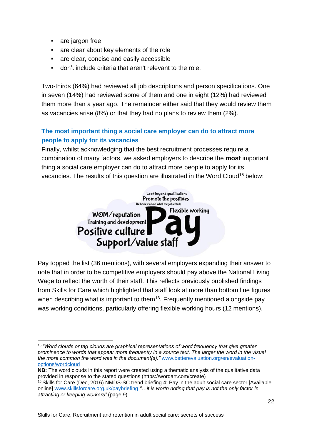- are jargon free
- are clear about key elements of the role
- are clear, concise and easily accessible
- don't include criteria that aren't relevant to the role.

Two-thirds (64%) had reviewed all job descriptions and person specifications. One in seven (14%) had reviewed some of them and one in eight (12%) had reviewed them more than a year ago. The remainder either said that they would review them as vacancies arise (8%) or that they had no plans to review them (2%).

### **The most important thing a social care employer can do to attract more people to apply for its vacancies**

Finally, whilst acknowledging that the best recruitment processes require a combination of many factors, we asked employers to describe the **most** important thing a social care employer can do to attract more people to apply for its vacancies. The results of this question are illustrated in the Word Cloud<sup>15</sup> below:



Pay topped the list (36 mentions), with several employers expanding their answer to note that in order to be competitive employers should pay above the National Living Wage to reflect the worth of their staff. This reflects previously published findings from Skills for Care which highlighted that staff look at more than bottom line figures when describing what is important to them<sup>16</sup>. Frequently mentioned alongside pay was working conditions, particularly offering flexible working hours (12 mentions).

<sup>15</sup>*"Word clouds or tag clouds are graphical representations of word frequency that give greater prominence to words that appear more frequently in a source text. The larger the word in the visual the more common the word was in the document(s)."* [www.betterevaluation.org/en/evaluation](http://www.betterevaluation.org/en/evaluation-options/wordcloud)[options/wordcloud](http://www.betterevaluation.org/en/evaluation-options/wordcloud)

**NB:** The word clouds in this report were created using a thematic analysis of the qualitative data provided in response to the stated questions (https://wordart.com/create)

<sup>16</sup> Skills for Care (Dec, 2016) NMDS-SC trend briefing 4: Pay in the adult social care sector [Available online] [www.skillsforcare.org.uk/paybriefing](http://www.skillsforcare.org.uk/paybriefing) *"…it is worth noting that pay is not the only factor in attracting or keeping workers"* (page 9).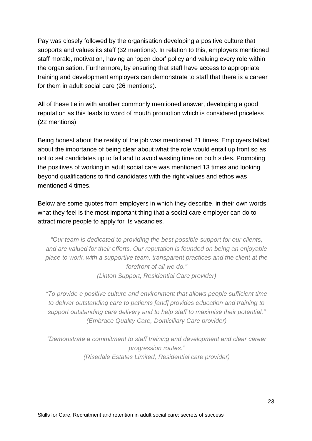Pay was closely followed by the organisation developing a positive culture that supports and values its staff (32 mentions). In relation to this, employers mentioned staff morale, motivation, having an 'open door' policy and valuing every role within the organisation. Furthermore, by ensuring that staff have access to appropriate training and development employers can demonstrate to staff that there is a career for them in adult social care (26 mentions).

All of these tie in with another commonly mentioned answer, developing a good reputation as this leads to word of mouth promotion which is considered priceless (22 mentions).

Being honest about the reality of the job was mentioned 21 times. Employers talked about the importance of being clear about what the role would entail up front so as not to set candidates up to fail and to avoid wasting time on both sides. Promoting the positives of working in adult social care was mentioned 13 times and looking beyond qualifications to find candidates with the right values and ethos was mentioned 4 times.

Below are some quotes from employers in which they describe, in their own words, what they feel is the most important thing that a social care employer can do to attract more people to apply for its vacancies.

*"Our team is dedicated to providing the best possible support for our clients, and are valued for their efforts. Our reputation is founded on being an enjoyable place to work, with a supportive team, transparent practices and the client at the forefront of all we do." (Linton Support, Residential Care provider)*

*"To provide a positive culture and environment that allows people sufficient time to deliver outstanding care to patients [and] provides education and training to support outstanding care delivery and to help staff to maximise their potential." (Embrace Quality Care, Domiciliary Care provider)*

*"Demonstrate a commitment to staff training and development and clear career progression routes." (Risedale Estates Limited, Residential care provider)*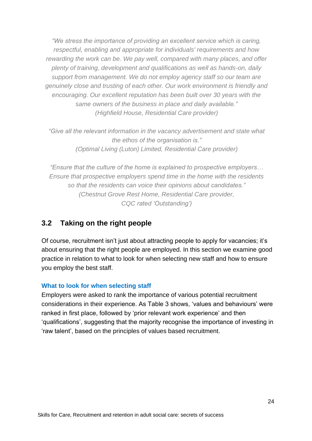*"We stress the importance of providing an excellent service which is caring, respectful, enabling and appropriate for individuals' requirements and how rewarding the work can be. We pay well, compared with many places, and offer plenty of training, development and qualifications as well as hands-on, daily support from management. We do not employ agency staff so our team are genuinely close and trusting of each other. Our work environment is friendly and encouraging. Our excellent reputation has been built over 30 years with the same owners of the business in place and daily available." (Highfield House, Residential Care provider)*

*"Give all the relevant information in the vacancy advertisement and state what the ethos of the organisation is." (Optimal Living (Luton) Limited, Residential Care provider)*

*"Ensure that the culture of the home is explained to prospective employers… Ensure that prospective employers spend time in the home with the residents so that the residents can voice their opinions about candidates." (Chestnut Grove Rest Home, Residential Care provider, CQC rated 'Outstanding')*

### <span id="page-23-0"></span>**3.2 Taking on the right people**

Of course, recruitment isn't just about attracting people to apply for vacancies; it's about ensuring that the right people are employed. In this section we examine good practice in relation to what to look for when selecting new staff and how to ensure you employ the best staff.

### **What to look for when selecting staff**

Employers were asked to rank the importance of various potential recruitment considerations in their experience. As Table 3 shows, 'values and behaviours' were ranked in first place, followed by 'prior relevant work experience' and then 'qualifications', suggesting that the majority recognise the importance of investing in 'raw talent', based on the principles of values based recruitment.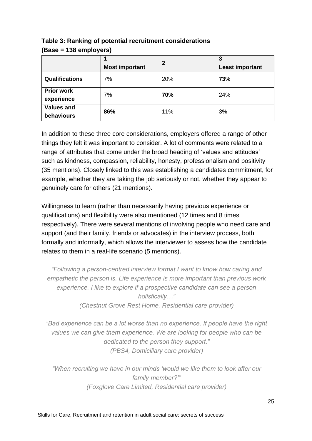|                                 |                       | $\mathbf{2}$ | 3                      |
|---------------------------------|-----------------------|--------------|------------------------|
|                                 | <b>Most important</b> |              | <b>Least important</b> |
| Qualifications                  | 7%                    | 20%          | 73%                    |
| <b>Prior work</b><br>experience | 7%                    | 70%          | 24%                    |
| <b>Values and</b><br>behaviours | 86%                   | 11%          | 3%                     |

**Table 3: Ranking of potential recruitment considerations (Base = 138 employers)**

In addition to these three core considerations, employers offered a range of other things they felt it was important to consider. A lot of comments were related to a range of attributes that come under the broad heading of 'values and attitudes' such as kindness, compassion, reliability, honesty, professionalism and positivity (35 mentions). Closely linked to this was establishing a candidates commitment, for example, whether they are taking the job seriously or not, whether they appear to genuinely care for others (21 mentions).

Willingness to learn (rather than necessarily having previous experience or qualifications) and flexibility were also mentioned (12 times and 8 times respectively). There were several mentions of involving people who need care and support (and their family, friends or advocates) in the interview process, both formally and informally, which allows the interviewer to assess how the candidate relates to them in a real-life scenario (5 mentions).

*"Following a person-centred interview format I want to know how caring and empathetic the person is. Life experience is more important than previous work experience. I like to explore if a prospective candidate can see a person holistically…" (Chestnut Grove Rest Home, Residential care provider)*

*"Bad experience can be a lot worse than no experience. If people have the right values we can give them experience. We are looking for people who can be dedicated to the person they support." (PBS4, Domiciliary care provider)*

*"When recruiting we have in our minds 'would we like them to look after our family member?'" (Foxglove Care Limited, Residential care provider)*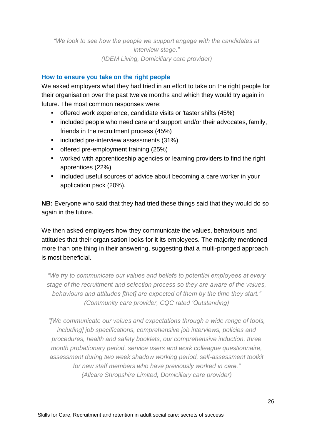*"We look to see how the people we support engage with the candidates at interview stage." (IDEM Living, Domiciliary care provider)*

#### **How to ensure you take on the right people**

We asked employers what they had tried in an effort to take on the right people for their organisation over the past twelve months and which they would try again in future. The most common responses were:

- offered work experience, candidate visits or 'taster shifts (45%)
- included people who need care and support and/or their advocates, family, friends in the recruitment process (45%)
- included pre-interview assessments (31%)
- offered pre-employment training (25%)
- worked with apprenticeship agencies or learning providers to find the right apprentices (22%)
- included useful sources of advice about becoming a care worker in your application pack (20%).

**NB:** Everyone who said that they had tried these things said that they would do so again in the future.

We then asked employers how they communicate the values, behaviours and attitudes that their organisation looks for it its employees. The majority mentioned more than one thing in their answering, suggesting that a multi-pronged approach is most beneficial.

*"We try to communicate our values and beliefs to potential employees at every stage of the recruitment and selection process so they are aware of the values, behaviours and attitudes [that] are expected of them by the time they start." (Community care provider, CQC rated 'Outstanding)*

*"[We communicate our values and expectations through a wide range of tools, including] job specifications, comprehensive job interviews, policies and procedures, health and safety booklets, our comprehensive induction, three month probationary period, service users and work colleague questionnaire, assessment during two week shadow working period, self-assessment toolkit for new staff members who have previously worked in care." (Allcare Shropshire Limited, Domiciliary care provider)*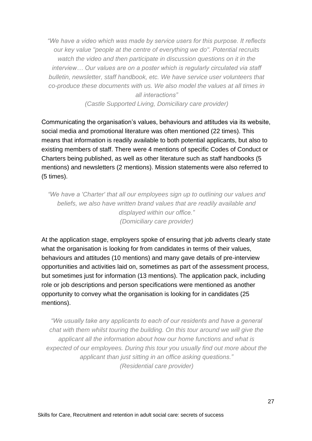*"We have a video which was made by service users for this purpose. It reflects our key value "people at the centre of everything we do". Potential recruits watch the video and then participate in discussion questions on it in the interview… Our values are on a poster which is regularly circulated via staff bulletin, newsletter, staff handbook, etc. We have service user volunteers that co-produce these documents with us. We also model the values at all times in all interactions"*

*(Castle Supported Living, Domiciliary care provider)*

Communicating the organisation's values, behaviours and attitudes via its website, social media and promotional literature was often mentioned (22 times). This means that information is readily available to both potential applicants, but also to existing members of staff. There were 4 mentions of specific Codes of Conduct or Charters being published, as well as other literature such as staff handbooks (5 mentions) and newsletters (2 mentions). Mission statements were also referred to (5 times).

*"We have a 'Charter' that all our employees sign up to outlining our values and beliefs, we also have written brand values that are readily available and displayed within our office." (Domiciliary care provider)*

At the application stage, employers spoke of ensuring that job adverts clearly state what the organisation is looking for from candidates in terms of their values, behaviours and attitudes (10 mentions) and many gave details of pre-interview opportunities and activities laid on, sometimes as part of the assessment process, but sometimes just for information (13 mentions). The application pack, including role or job descriptions and person specifications were mentioned as another opportunity to convey what the organisation is looking for in candidates (25 mentions).

*"We usually take any applicants to each of our residents and have a general chat with them whilst touring the building. On this tour around we will give the applicant all the information about how our home functions and what is expected of our employees. During this tour you usually find out more about the applicant than just sitting in an office asking questions." (Residential care provider)*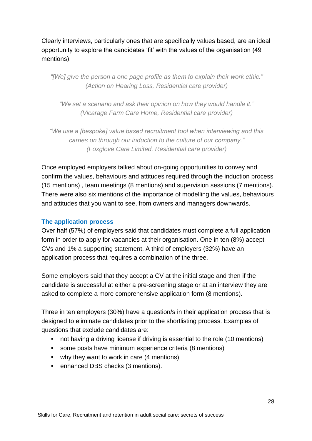Clearly interviews, particularly ones that are specifically values based, are an ideal opportunity to explore the candidates 'fit' with the values of the organisation (49 mentions).

*"[We] give the person a one page profile as them to explain their work ethic." (Action on Hearing Loss, Residential care provider)*

*"We set a scenario and ask their opinion on how they would handle it." (Vicarage Farm Care Home, Residential care provider)*

*"We use a [bespoke] value based recruitment tool when interviewing and this carries on through our induction to the culture of our company." (Foxglove Care Limited, Residential care provider)*

Once employed employers talked about on-going opportunities to convey and confirm the values, behaviours and attitudes required through the induction process (15 mentions) , team meetings (8 mentions) and supervision sessions (7 mentions). There were also six mentions of the importance of modelling the values, behaviours and attitudes that you want to see, from owners and managers downwards.

### **The application process**

Over half (57%) of employers said that candidates must complete a full application form in order to apply for vacancies at their organisation. One in ten (8%) accept CVs and 1% a supporting statement. A third of employers (32%) have an application process that requires a combination of the three.

Some employers said that they accept a CV at the initial stage and then if the candidate is successful at either a pre-screening stage or at an interview they are asked to complete a more comprehensive application form (8 mentions).

Three in ten employers (30%) have a question/s in their application process that is designed to eliminate candidates prior to the shortlisting process. Examples of questions that exclude candidates are:

- not having a driving license if driving is essential to the role (10 mentions)
- some posts have minimum experience criteria (8 mentions)
- why they want to work in care (4 mentions)
- enhanced DBS checks (3 mentions).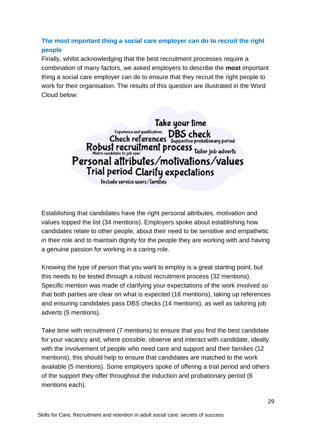### **The most important thing a social care employer can do to recruit the right people**

Finally, whilst acknowledging that the best recruitment processes require a combination of many factors, we asked employers to describe the **most** important thing a social care employer can do to ensure that they recruit the right people to work for their organisation. The results of this question are illustrated in the Word Cloud below:

> Take your time Experience and qualifications DBS check<br>Check references Supportive probationary period Robust recruitment process Tailor job adverts Personal attributes/motivations/values Trial period Clarify expectations

Include service users/families

Establishing that candidates have the right personal attributes, motivation and values topped the list (34 mentions). Employers spoke about establishing how candidates relate to other people, about their need to be sensitive and empathetic in their role and to maintain dignity for the people they are working with and having a genuine passion for working in a caring role.

Knowing the type of person that you want to employ is a great starting point, but this needs to be tested through a robust recruitment process (32 mentions). Specific mention was made of clarifying your expectations of the work involved so that both parties are clear on what is expected (16 mentions), taking up references and ensuring candidates pass DBS checks (14 mentions), as well as tailoring job adverts (5 mentions).

Take time with recruitment (7 mentions) to ensure that you find the best candidate for your vacancy and, where possible, observe and interact with candidate, ideally with the involvement of people who need care and support and their families (12 mentions), this should help to ensure that candidates are matched to the work available (5 mentions). Some employers spoke of offering a trial period and others of the support they offer throughout the induction and probationary period (6 mentions each).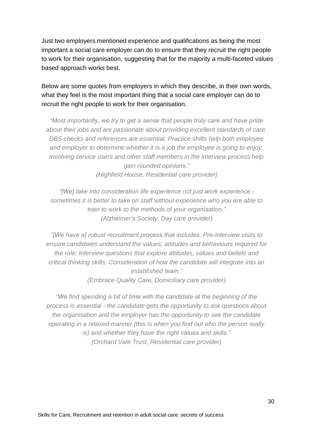Just two employers mentioned experience and qualifications as being the most important a social care employer can do to ensure that they recruit the right people to work for their organisation, suggesting that for the majority a multi-faceted values based approach works best.

Below are some quotes from employers in which they describe, in their own words, what they feel is the most important thing that a social care employer can do to recruit the right people to work for their organisation.

*"Most importantly, we try to get a sense that people truly care and have pride about their jobs and are passionate about providing excellent standards of care. DBS checks and references are essential. Practice shifts help both employee and employer to determine whether it is a job the employee is going to enjoy. Involving service users and other staff members in the interview process help gain rounded opinions." (Highfield House, Residential care provider)*

*"[We] take into consideration life experience not just work experience sometimes it is better to take on staff without experience who you are able to train to work to the methods of your organisation." (Alzheimer's Society, Day care provider)*

*"[We have a] robust recruitment process that includes: Pre-interview visits to ensure candidates understand the values, attitudes and behaviours required for the role; Interview questions that explore attitudes, values and beliefs and critical thinking skills; Consideration of how the candidate will integrate into an established team."*

*(Embrace Quality Care, Domiciliary care provider)*

*"We find spending a bit of time with the candidate at the beginning of the process is essential - the candidate gets the opportunity to ask questions about the organisation and the employer has the opportunity to see the candidate operating in a relaxed manner (this is when you find out who the person really is) and whether they have the right values and skills." (Orchard Vale Trust, Residential care provider)*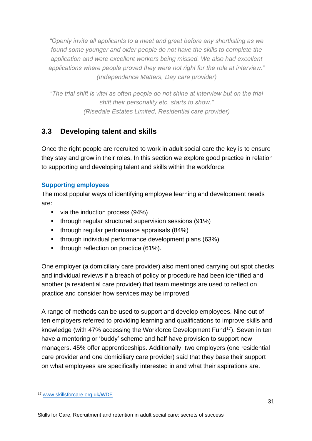*"Openly invite all applicants to a meet and greet before any shortlisting as we found some younger and older people do not have the skills to complete the application and were excellent workers being missed. We also had excellent applications where people proved they were not right for the role at interview." (Independence Matters, Day care provider)*

*"The trial shift is vital as often people do not shine at interview but on the trial shift their personality etc. starts to show." (Risedale Estates Limited, Residential care provider)*

### <span id="page-30-0"></span>**3.3 Developing talent and skills**

Once the right people are recruited to work in adult social care the key is to ensure they stay and grow in their roles. In this section we explore good practice in relation to supporting and developing talent and skills within the workforce.

### **Supporting employees**

The most popular ways of identifying employee learning and development needs are:

- via the induction process (94%)
- through regular structured supervision sessions (91%)
- through regular performance appraisals (84%)
- through individual performance development plans (63%)
- through reflection on practice (61%).

One employer (a domiciliary care provider) also mentioned carrying out spot checks and individual reviews if a breach of policy or procedure had been identified and another (a residential care provider) that team meetings are used to reflect on practice and consider how services may be improved.

A range of methods can be used to support and develop employees. Nine out of ten employers referred to providing learning and qualifications to improve skills and knowledge (with 47% accessing the Workforce Development Fund<sup>17</sup>). Seven in ten have a mentoring or 'buddy' scheme and half have provision to support new managers. 45% offer apprenticeships. Additionally, two employers (one residential care provider and one domiciliary care provider) said that they base their support on what employees are specifically interested in and what their aspirations are.

<sup>17</sup> [www.skillsforcare.org.uk/WDF](http://www.skillsforcare.org.uk/WDF)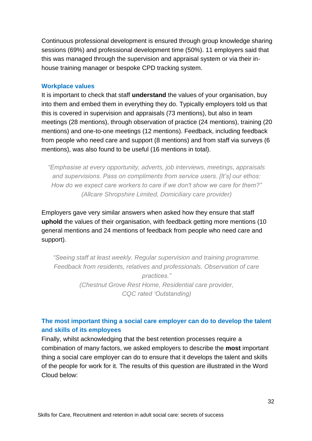Continuous professional development is ensured through group knowledge sharing sessions (69%) and professional development time (50%). 11 employers said that this was managed through the supervision and appraisal system or via their inhouse training manager or bespoke CPD tracking system.

#### **Workplace values**

It is important to check that staff **understand** the values of your organisation, buy into them and embed them in everything they do. Typically employers told us that this is covered in supervision and appraisals (73 mentions), but also in team meetings (28 mentions), through observation of practice (24 mentions), training (20 mentions) and one-to-one meetings (12 mentions). Feedback, including feedback from people who need care and support (8 mentions) and from staff via surveys (6 mentions), was also found to be useful (16 mentions in total).

*"Emphasise at every opportunity, adverts, job interviews, meetings, appraisals and supervisions. Pass on compliments from service users. [It's] our ethos: How do we expect care workers to care if we don't show we care for them?" (Allcare Shropshire Limited, Domiciliary care provider)*

Employers gave very similar answers when asked how they ensure that staff **uphold** the values of their organisation, with feedback getting more mentions (10 general mentions and 24 mentions of feedback from people who need care and support).

*"Seeing staff at least weekly. Regular supervision and training programme. Feedback from residents, relatives and professionals. Observation of care practices." (Chestnut Grove Rest Home, Residential care provider, CQC rated 'Outstanding)*

### **The most important thing a social care employer can do to develop the talent and skills of its employees**

Finally, whilst acknowledging that the best retention processes require a combination of many factors, we asked employers to describe the **most** important thing a social care employer can do to ensure that it develops the talent and skills of the people for work for it. The results of this question are illustrated in the Word Cloud below: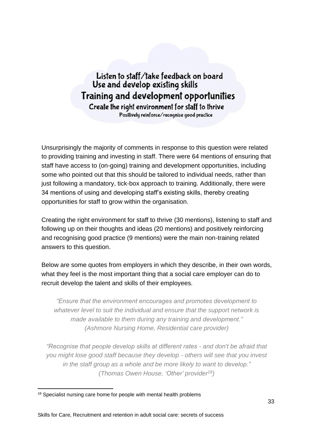Listen to staff/take feedback on board Use and develop existing skills Training and development opportunities Create the right environment for staff to thrive Positively reinforce/recognise good practice

Unsurprisingly the majority of comments in response to this question were related to providing training and investing in staff. There were 64 mentions of ensuring that staff have access to (on-going) training and development opportunities, including some who pointed out that this should be tailored to individual needs, rather than just following a mandatory, tick-box approach to training. Additionally, there were 34 mentions of using and developing staff's existing skills, thereby creating opportunities for staff to grow within the organisation.

Creating the right environment for staff to thrive (30 mentions), listening to staff and following up on their thoughts and ideas (20 mentions) and positively reinforcing and recognising good practice (9 mentions) were the main non-training related answers to this question.

Below are some quotes from employers in which they describe, in their own words, what they feel is the most important thing that a social care employer can do to recruit develop the talent and skills of their employees.

*"Ensure that the environment encourages and promotes development to whatever level to suit the individual and ensure that the support network is made available to them during any training and development." (Ashmore Nursing Home, Residential care provider)*

*"Recognise that people develop skills at different rates - and don't be afraid that you might lose good staff because they develop - others will see that you invest in the staff group as a whole and be more likely to want to develop." (Thomas Owen House, 'Other' provider<sup>18</sup>)*

<sup>&</sup>lt;sup>18</sup> Specialist nursing care home for people with mental health problems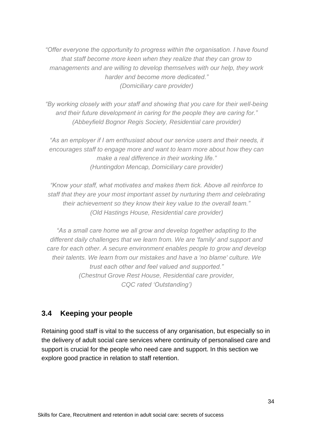*"Offer everyone the opportunity to progress within the organisation. I have found that staff become more keen when they realize that they can grow to managements and are willing to develop themselves with our help, they work harder and become more dedicated." (Domiciliary care provider)*

*"By working closely with your staff and showing that you care for their well-being and their future development in caring for the people they are caring for." (Abbeyfield Bognor Regis Society, Residential care provider)*

*"As an employer if I am enthusiast about our service users and their needs, it encourages staff to engage more and want to learn more about how they can make a real difference in their working life." (Huntingdon Mencap, Domiciliary care provider)*

*"Know your staff, what motivates and makes them tick. Above all reinforce to staff that they are your most important asset by nurturing them and celebrating their achievement so they know their key value to the overall team." (Old Hastings House, Residential care provider)*

*"As a small care home we all grow and develop together adapting to the different daily challenges that we learn from. We are 'family' and support and care for each other. A secure environment enables people to grow and develop their talents. We learn from our mistakes and have a 'no blame' culture. We trust each other and feel valued and supported." (Chestnut Grove Rest House, Residential care provider, CQC rated 'Outstanding')*

### <span id="page-33-0"></span>**3.4 Keeping your people**

Retaining good staff is vital to the success of any organisation, but especially so in the delivery of adult social care services where continuity of personalised care and support is crucial for the people who need care and support. In this section we explore good practice in relation to staff retention.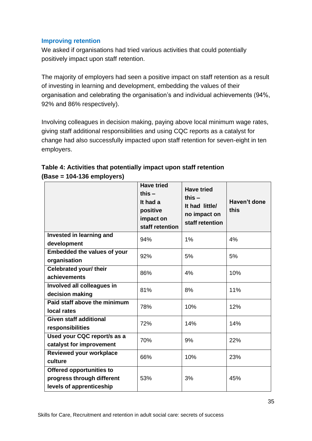### **Improving retention**

We asked if organisations had tried various activities that could potentially positively impact upon staff retention.

The majority of employers had seen a positive impact on staff retention as a result of investing in learning and development, embedding the values of their organisation and celebrating the organisation's and individual achievements (94%, 92% and 86% respectively).

Involving colleagues in decision making, paying above local minimum wage rates, giving staff additional responsibilities and using CQC reports as a catalyst for change had also successfully impacted upon staff retention for seven-eight in ten employers.

|                                                                                           | <b>Have tried</b><br>this $-$<br>It had a<br>positive<br>impact on<br>staff retention | <b>Have tried</b><br>this $-$<br>It had little/<br>no impact on<br>staff retention | Haven't done<br>this |
|-------------------------------------------------------------------------------------------|---------------------------------------------------------------------------------------|------------------------------------------------------------------------------------|----------------------|
| Invested in learning and<br>development                                                   | 94%                                                                                   | 1%                                                                                 | 4%                   |
| <b>Embedded the values of your</b><br>organisation                                        | 92%                                                                                   | 5%                                                                                 | 5%                   |
| Celebrated your/ their<br>achievements                                                    | 86%                                                                                   | 4%                                                                                 | 10%                  |
| Involved all colleagues in<br>decision making                                             | 81%                                                                                   | 8%                                                                                 | 11%                  |
| Paid staff above the minimum<br>local rates                                               | 78%                                                                                   | 10%                                                                                | 12%                  |
| <b>Given staff additional</b><br>responsibilities                                         | 72%                                                                                   | 14%                                                                                | 14%                  |
| Used your CQC report/s as a<br>catalyst for improvement                                   | 70%                                                                                   | 9%                                                                                 | 22%                  |
| Reviewed your workplace<br>culture                                                        | 66%                                                                                   | 10%                                                                                | 23%                  |
| <b>Offered opportunities to</b><br>progress through different<br>levels of apprenticeship | 53%                                                                                   | 3%                                                                                 | 45%                  |

**Table 4: Activities that potentially impact upon staff retention (Base = 104-136 employers)**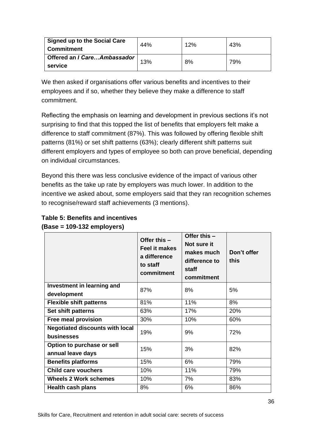| <b>Signed up to the Social Care</b><br>l Commitment | 44% | 12% | 43% |
|-----------------------------------------------------|-----|-----|-----|
| │ Offered an <i>I Care…Ambassador</i> │<br>service  | 13% | 8%  | 79% |

We then asked if organisations offer various benefits and incentives to their employees and if so, whether they believe they make a difference to staff commitment.

Reflecting the emphasis on learning and development in previous sections it's not surprising to find that this topped the list of benefits that employers felt make a difference to staff commitment (87%). This was followed by offering flexible shift patterns (81%) or set shift patterns (63%); clearly different shift patterns suit different employers and types of employee so both can prove beneficial, depending on individual circumstances.

Beyond this there was less conclusive evidence of the impact of various other benefits as the take up rate by employers was much lower. In addition to the incentive we asked about, some employers said that they ran recognition schemes to recognise/reward staff achievements (3 mentions).

|                                                      | Offer this -<br><b>Feel it makes</b><br>a difference<br>to staff<br>commitment | Offer this -<br>Not sure it<br>makes much<br>difference to<br>staff<br>commitment | Don't offer<br>this |
|------------------------------------------------------|--------------------------------------------------------------------------------|-----------------------------------------------------------------------------------|---------------------|
| Investment in learning and                           | 87%                                                                            | 8%                                                                                | 5%                  |
| development                                          |                                                                                |                                                                                   |                     |
| <b>Flexible shift patterns</b>                       | 81%                                                                            | 11%                                                                               | 8%                  |
| Set shift patterns                                   | 63%                                                                            | 17%                                                                               | 20%                 |
| Free meal provision                                  | 30%                                                                            | 10%                                                                               | 60%                 |
| <b>Negotiated discounts with local</b><br>businesses | 19%                                                                            | 9%                                                                                | 72%                 |
| Option to purchase or sell<br>annual leave days      | 15%                                                                            | 3%                                                                                | 82%                 |
| <b>Benefits platforms</b>                            | 15%                                                                            | 6%                                                                                | 79%                 |
| <b>Child care vouchers</b>                           | 10%                                                                            | 11%                                                                               | 79%                 |
| <b>Wheels 2 Work schemes</b>                         | 10%                                                                            | 7%                                                                                | 83%                 |
| <b>Health cash plans</b>                             | 8%                                                                             | 6%                                                                                | 86%                 |

### **Table 5: Benefits and incentives (Base = 109-132 employers)**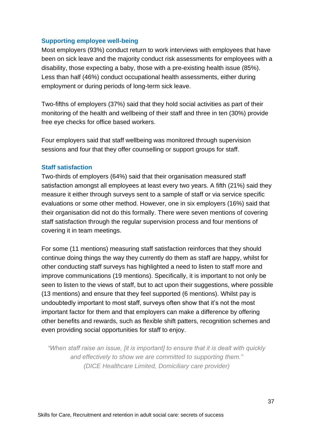#### **Supporting employee well-being**

Most employers (93%) conduct return to work interviews with employees that have been on sick leave and the majority conduct risk assessments for employees with a disability, those expecting a baby, those with a pre-existing health issue (85%). Less than half (46%) conduct occupational health assessments, either during employment or during periods of long-term sick leave.

Two-fifths of employers (37%) said that they hold social activities as part of their monitoring of the health and wellbeing of their staff and three in ten (30%) provide free eye checks for office based workers.

Four employers said that staff wellbeing was monitored through supervision sessions and four that they offer counselling or support groups for staff.

#### **Staff satisfaction**

Two-thirds of employers (64%) said that their organisation measured staff satisfaction amongst all employees at least every two years. A fifth (21%) said they measure it either through surveys sent to a sample of staff or via service specific evaluations or some other method. However, one in six employers (16%) said that their organisation did not do this formally. There were seven mentions of covering staff satisfaction through the regular supervision process and four mentions of covering it in team meetings.

For some (11 mentions) measuring staff satisfaction reinforces that they should continue doing things the way they currently do them as staff are happy, whilst for other conducting staff surveys has highlighted a need to listen to staff more and improve communications (19 mentions). Specifically, it is important to not only be seen to listen to the views of staff, but to act upon their suggestions, where possible (13 mentions) and ensure that they feel supported (6 mentions). Whilst pay is undoubtedly important to most staff, surveys often show that it's not the most important factor for them and that employers can make a difference by offering other benefits and rewards, such as flexible shift patters, recognition schemes and even providing social opportunities for staff to enjoy.

*"When staff raise an issue, [it is important] to ensure that it is dealt with quickly and effectively to show we are committed to supporting them." (DICE Healthcare Limited, Domiciliary care provider)*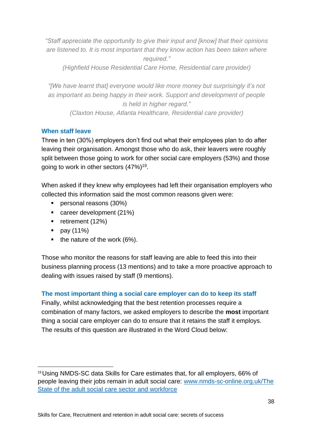*"Staff appreciate the opportunity to give their input and [know] that their opinions are listened to. It is most important that they know action has been taken where required."*

*(Highfield House Residential Care Home, Residential care provider)*

*"[We have learnt that] everyone would like more money but surprisingly it's not as important as being happy in their work. Support and development of people is held in higher regard." (Claxton House, Atlanta Healthcare, Residential care provider)*

### **When staff leave**

Three in ten (30%) employers don't find out what their employees plan to do after leaving their organisation. Amongst those who do ask, their leavers were roughly split between those going to work for other social care employers (53%) and those going to work in other sectors (47%)<sup>19</sup>.

When asked if they knew why employees had left their organisation employers who collected this information said the most common reasons given were:

- **•** personal reasons (30%)
- career development (21%)
- retirement (12%)
- $\blacksquare$  pay (11%)
- $\blacksquare$  the nature of the work (6%).

Those who monitor the reasons for staff leaving are able to feed this into their business planning process (13 mentions) and to take a more proactive approach to dealing with issues raised by staff (9 mentions).

### **The most important thing a social care employer can do to keep its staff**

Finally, whilst acknowledging that the best retention processes require a combination of many factors, we asked employers to describe the **most** important thing a social care employer can do to ensure that it retains the staff it employs. The results of this question are illustrated in the Word Cloud below:

<sup>19</sup>Using NMDS-SC data Skills for Care estimates that, for all employers, 66% of people leaving their jobs remain in adult social care: [www.nmds-sc-online.org.uk/The](http://www.nmds-sc-online.org.uk/The%20State%20of%20the%20adult%20social%20care%20sector%20and%20workforce) State of the [adult social care sector](http://www.nmds-sc-online.org.uk/The%20State%20of%20the%20adult%20social%20care%20sector%20and%20workforce) and workforce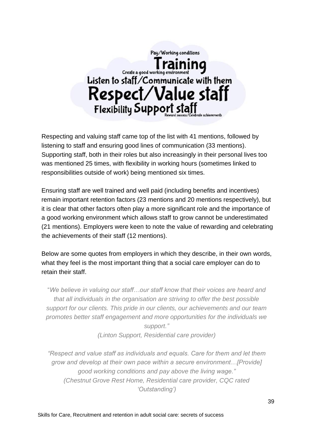

Respecting and valuing staff came top of the list with 41 mentions, followed by listening to staff and ensuring good lines of communication (33 mentions). Supporting staff, both in their roles but also increasingly in their personal lives too was mentioned 25 times, with flexibility in working hours (sometimes linked to responsibilities outside of work) being mentioned six times.

Ensuring staff are well trained and well paid (including benefits and incentives) remain important retention factors (23 mentions and 20 mentions respectively), but it is clear that other factors often play a more significant role and the importance of a good working environment which allows staff to grow cannot be underestimated (21 mentions). Employers were keen to note the value of rewarding and celebrating the achievements of their staff (12 mentions).

Below are some quotes from employers in which they describe, in their own words, what they feel is the most important thing that a social care employer can do to retain their staff.

"*We believe in valuing our staff…our staff know that their voices are heard and that all individuals in the organisation are striving to offer the best possible support for our clients. This pride in our clients, our achievements and our team promotes better staff engagement and more opportunities for the individuals we support."*

*(Linton Support, Residential care provider)*

*"Respect and value staff as individuals and equals. Care for them and let them grow and develop at their own pace within a secure environment…[Provide] good working conditions and pay above the living wage." (Chestnut Grove Rest Home, Residential care provider, CQC rated 'Outstanding')*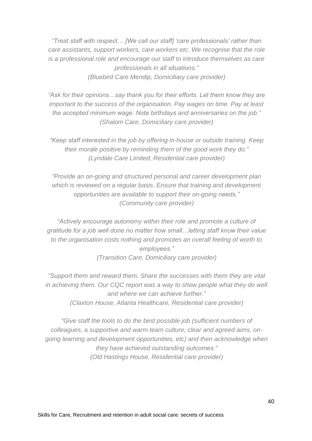*"Treat staff with respect… [We call our staff] 'care professionals' rather than care assistants, support workers, care workers etc. We recognise that the role is a professional role and encourage our staff to introduce themselves as care professionals in all situations." (Bluebird Care Mendip, Domiciliary care provider)*

*"Ask for their opinions…say thank you for their efforts. Let them know they are important to the success of the organisation. Pay wages on time. Pay at least the accepted minimum wage. Note birthdays and anniversaries on the job." (Shalom Care, Domiciliary care provider)*

*"Keep staff interested in the job by offering in-house or outside training. Keep their morale positive by reminding them of the good work they do." (Lyndale Care Limited, Residential care provider)*

*"Provide an on-going and structured personal and career development plan which is reviewed on a regular basis. Ensure that training and development opportunities are available to support their on-going needs." (Community care provider)*

*"Actively encourage autonomy within their role and promote a culture of gratitude for a job well done no matter how small…letting staff know their value to the organisation costs nothing and promotes an overall feeling of worth to employees." (Transition Care, Domiciliary care provider)*

*"Support them and reward them. Share the successes with them they are vital in achieving them. Our CQC report was a way to show people what they do well and where we can achieve further." (Claxton House, Atlanta Healthcare, Residential care provider)*

*"Give staff the tools to do the best possible job (sufficient numbers of colleagues, a supportive and warm team culture, clear and agreed aims, ongoing learning and development opportunities, etc) and then acknowledge when they have achieved outstanding outcomes." (Old Hastings House, Residential care provider)*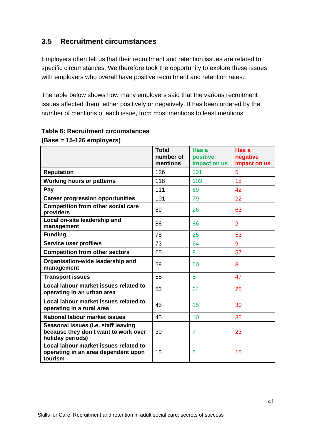### <span id="page-40-0"></span>**3.5 Recruitment circumstances**

Employers often tell us that their recruitment and retention issues are related to specific circumstances. We therefore took the opportunity to explore these issues with employers who overall have positive recruitment and retention rates.

The table below shows how many employers said that the various recruitment issues affected them, either positively or negatively. It has been ordered by the number of mentions of each issue, from most mentions to least mentions.

|                                                                                                 | <b>Total</b><br>number of<br>mentions | Has a<br>positive<br>impact on us | Has a<br>negative<br>impact on us |
|-------------------------------------------------------------------------------------------------|---------------------------------------|-----------------------------------|-----------------------------------|
| <b>Reputation</b>                                                                               | 126                                   | 121                               | 5                                 |
| <b>Working hours or patterns</b>                                                                | 118                                   | 103                               | 15                                |
| Pay                                                                                             | 111                                   | 69                                | 42                                |
| <b>Career progression opportunities</b>                                                         | 101                                   | 79                                | 22                                |
| <b>Competition from other social care</b><br>providers                                          | 89                                    | 26                                | 63                                |
| Local on-site leadership and<br>management                                                      | 88                                    | 86                                | $\overline{2}$                    |
| <b>Funding</b>                                                                                  | 78                                    | 25                                | 53                                |
| Service user profile/s                                                                          | 73                                    | 64                                | 9                                 |
| <b>Competition from other sectors</b>                                                           | 65                                    | 8                                 | 57                                |
| Organisation-wide leadership and<br>management                                                  | 58                                    | 50                                | 8                                 |
| <b>Transport issues</b>                                                                         | 55                                    | 8                                 | 47                                |
| Local labour market issues related to<br>operating in an urban area                             | 52                                    | 24                                | 28                                |
| Local labour market issues related to<br>operating in a rural area                              | 45                                    | 15                                | 30                                |
| National labour market issues                                                                   | 45                                    | 10                                | 35                                |
| Seasonal issues (i.e. staff leaving<br>because they don't want to work over<br>holiday periods) | 30                                    | 7                                 | 23                                |
| Local labour market issues related to<br>operating in an area dependent upon<br>tourism         | 15                                    | 5                                 | 10                                |

### **Table 6: Recruitment circumstances (Base = 15-126 employers)**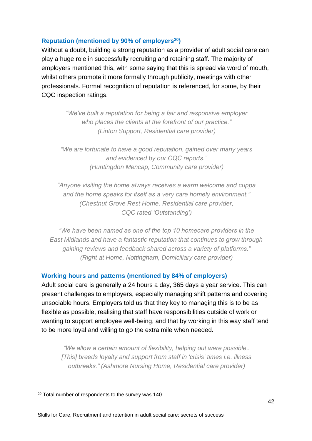### **Reputation (mentioned by 90% of employers <sup>20</sup>)**

Without a doubt, building a strong reputation as a provider of adult social care can play a huge role in successfully recruiting and retaining staff. The majority of employers mentioned this, with some saying that this is spread via word of mouth, whilst others promote it more formally through publicity, meetings with other professionals. Formal recognition of reputation is referenced, for some, by their CQC inspection ratings.

> *"We've built a reputation for being a fair and responsive employer who places the clients at the forefront of our practice." (Linton Support, Residential care provider)*

*"We are fortunate to have a good reputation, gained over many years and evidenced by our CQC reports." (Huntingdon Mencap, Community care provider)*

*"Anyone visiting the home always receives a warm welcome and cuppa and the home speaks for itself as a very care homely environment." (Chestnut Grove Rest Home, Residential care provider, CQC rated 'Outstanding')*

*"We have been named as one of the top 10 homecare providers in the East Midlands and have a fantastic reputation that continues to grow through gaining reviews and feedback shared across a variety of platforms." (Right at Home, Nottingham, Domiciliary care provider)*

### **Working hours and patterns (mentioned by 84% of employers)**

Adult social care is generally a 24 hours a day, 365 days a year service. This can present challenges to employers, especially managing shift patterns and covering unsociable hours. Employers told us that they key to managing this is to be as flexible as possible, realising that staff have responsibilities outside of work or wanting to support employee well-being, and that by working in this way staff tend to be more loyal and willing to go the extra mile when needed.

*"We allow a certain amount of flexibility, helping out were possible.. [This] breeds loyalty and support from staff in 'crisis' times i.e. illness outbreaks." (Ashmore Nursing Home, Residential care provider)*

<sup>20</sup> Total number of respondents to the survey was 140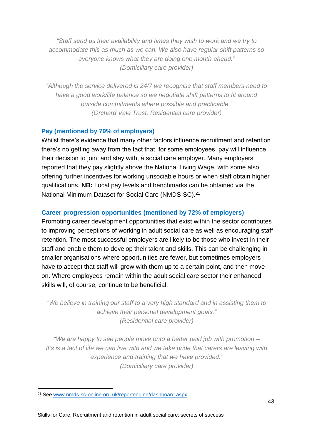*"Staff send us their availability and times they wish to work and we try to accommodate this as much as we can. We also have regular shift patterns so everyone knows what they are doing one month ahead." (Domiciliary care provider)*

*"Although the service delivered is 24/7 we recognise that staff members need to have a good work/life balance so we negotiate shift patterns to fit around outside commitments where possible and practicable." (Orchard Vale Trust, Residential care provider)*

### **Pay (mentioned by 79% of employers)**

Whilst there's evidence that many other factors influence recruitment and retention there's no getting away from the fact that, for some employees, pay will influence their decision to join, and stay with, a social care employer. Many employers reported that they pay slightly above the National Living Wage, with some also offering further incentives for working unsociable hours or when staff obtain higher qualifications. **NB:** Local pay levels and benchmarks can be obtained via the National Minimum Dataset for Social Care (NMDS-SC).<sup>21</sup>

### **Career progression opportunities (mentioned by 72% of employers)**

Promoting career development opportunities that exist within the sector contributes to improving perceptions of working in adult social care as well as encouraging staff retention. The most successful employers are likely to be those who invest in their staff and enable them to develop their talent and skills. This can be challenging in smaller organisations where opportunities are fewer, but sometimes employers have to accept that staff will grow with them up to a certain point, and then move on. Where employees remain within the adult social care sector their enhanced skills will, of course, continue to be beneficial.

*"We believe in training our staff to a very high standard and in assisting them to achieve their personal development goals." (Residential care provider)*

*"We are happy to see people move onto a better paid job with promotion – It's is a fact of life we can live with and we take pride that carers are leaving with experience and training that we have provided." (Domiciliary care provider)*

<sup>21</sup> See [www.nmds-sc-online.org.uk/reportengine/dashboard.aspx](http://www.nmds-sc-online.org.uk/reportengine/dashboard.aspx)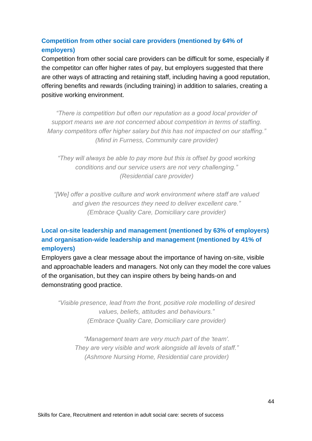### **Competition from other social care providers (mentioned by 64% of employers)**

Competition from other social care providers can be difficult for some, especially if the competitor can offer higher rates of pay, but employers suggested that there are other ways of attracting and retaining staff, including having a good reputation, offering benefits and rewards (including training) in addition to salaries, creating a positive working environment.

*"There is competition but often our reputation as a good local provider of support means we are not concerned about competition in terms of staffing. Many competitors offer higher salary but this has not impacted on our staffing." (Mind in Furness, Community care provider)*

*"They will always be able to pay more but this is offset by good working conditions and our service users are not very challenging." (Residential care provider)*

*"[We] offer a positive culture and work environment where staff are valued and given the resources they need to deliver excellent care." (Embrace Quality Care, Domiciliary care provider)*

### **Local on-site leadership and management (mentioned by 63% of employers) and organisation-wide leadership and management (mentioned by 41% of employers)**

Employers gave a clear message about the importance of having on-site, visible and approachable leaders and managers. Not only can they model the core values of the organisation, but they can inspire others by being hands-on and demonstrating good practice.

*"Visible presence, lead from the front, positive role modelling of desired values, beliefs, attitudes and behaviours." (Embrace Quality Care, Domiciliary care provider)*

*"Management team are very much part of the 'team'. They are very visible and work alongside all levels of staff." (Ashmore Nursing Home, Residential care provider)*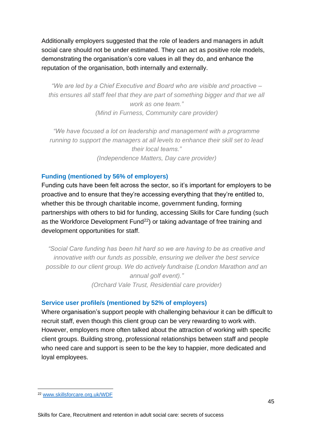Additionally employers suggested that the role of leaders and managers in adult social care should not be under estimated. They can act as positive role models, demonstrating the organisation's core values in all they do, and enhance the reputation of the organisation, both internally and externally.

*"We are led by a Chief Executive and Board who are visible and proactive – this ensures all staff feel that they are part of something bigger and that we all work as one team." (Mind in Furness, Community care provider)*

*"We have focused a lot on leadership and management with a programme running to support the managers at all levels to enhance their skill set to lead their local teams." (Independence Matters, Day care provider)*

### **Funding (mentioned by 56% of employers)**

Funding cuts have been felt across the sector, so it's important for employers to be proactive and to ensure that they're accessing everything that they're entitled to, whether this be through charitable income, government funding, forming partnerships with others to bid for funding, accessing Skills for Care funding (such as the Workforce Development Fund<sup>22</sup>) or taking advantage of free training and development opportunities for staff.

*"Social Care funding has been hit hard so we are having to be as creative and innovative with our funds as possible, ensuring we deliver the best service possible to our client group. We do actively fundraise (London Marathon and an annual golf event)." (Orchard Vale Trust, Residential care provider)*

#### **Service user profile/s (mentioned by 52% of employers)**

Where organisation's support people with challenging behaviour it can be difficult to recruit staff, even though this client group can be very rewarding to work with. However, employers more often talked about the attraction of working with specific client groups. Building strong, professional relationships between staff and people who need care and support is seen to be the key to happier, more dedicated and loyal employees.

<sup>22</sup> [www.skillsforcare.org.uk/WDF](http://www.skillsforcare.org.uk/WDF)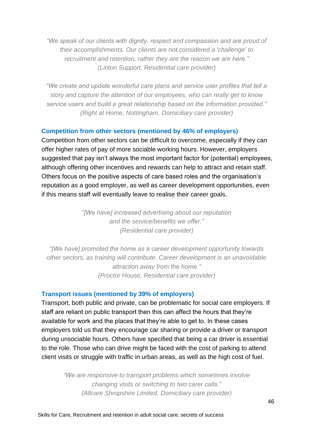*"We speak of our clients with dignity, respect and compassion and are proud of their accomplishments. Our clients are not considered a 'challenge' to recruitment and retention, rather they are the reason we are here." (Linton Support, Residential care provider)*

*"We create and update wonderful care plans and service user profiles that tell a story and capture the attention of our employees, who can really get to know service users and build a great relationship based on the information provided." (Right at Home, Nottingham, Domiciliary care provider)*

#### **Competition from other sectors (mentioned by 46% of employers)**

Competition from other sectors can be difficult to overcome, especially if they can offer higher rates of pay of more sociable working hours. However, employers suggested that pay isn't always the most important factor for (potential) employees, although offering other incentives and rewards can help to attract and retain staff. Others focus on the positive aspects of care based roles and the organisation's reputation as a good employer, as well as career development opportunities, even if this means staff will eventually leave to realise their career goals.

> *"[We have] increased advertising about our reputation and the service/benefits we offer." (Residential care provider)*

*"[We have] promoted the home as a career development opportunity towards other sectors, as training will contribute. Career development is an unavoidable attraction away from the home." (Proctor House, Residential care provider)*

#### **Transport issues (mentioned by 39% of employers)**

Transport, both public and private, can be problematic for social care employers. If staff are reliant on public transport then this can affect the hours that they're available for work and the places that they're able to get to. In these cases employers told us that they encourage car sharing or provide a driver or transport during unsociable hours. Others have specified that being a car driver is essential to the role. Those who can drive might be faced with the cost of parking to attend client visits or struggle with traffic in urban areas, as well as the high cost of fuel.

*"We are responsive to transport problems which sometimes involve changing visits or switching to two carer calls." (Allcare Shropshire Limited, Domiciliary care provider)*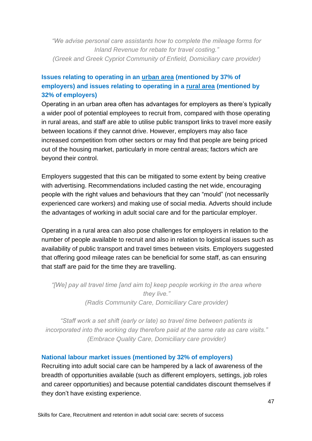*"We advise personal care assistants how to complete the mileage forms for Inland Revenue for rebate for travel costing." (Greek and Greek Cypriot Community of Enfield, Domiciliary care provider)*

### **Issues relating to operating in an urban area (mentioned by 37% of employers) and issues relating to operating in a rural area (mentioned by 32% of employers)**

Operating in an urban area often has advantages for employers as there's typically a wider pool of potential employees to recruit from, compared with those operating in rural areas, and staff are able to utilise public transport links to travel more easily between locations if they cannot drive. However, employers may also face increased competition from other sectors or may find that people are being priced out of the housing market, particularly in more central areas; factors which are beyond their control.

Employers suggested that this can be mitigated to some extent by being creative with advertising. Recommendations included casting the net wide, encouraging people with the right values and behaviours that they can "mould" (not necessarily experienced care workers) and making use of social media. Adverts should include the advantages of working in adult social care and for the particular employer.

Operating in a rural area can also pose challenges for employers in relation to the number of people available to recruit and also in relation to logistical issues such as availability of public transport and travel times between visits. Employers suggested that offering good mileage rates can be beneficial for some staff, as can ensuring that staff are paid for the time they are travelling.

*"[We] pay all travel time [and aim to] keep people working in the area where they live." (Radis Community Care, Domiciliary Care provider)*

*"Staff work a set shift (early or late) so travel time between patients is incorporated into the working day therefore paid at the same rate as care visits." (Embrace Quality Care, Domiciliary care provider)*

### **National labour market issues (mentioned by 32% of employers)**

Recruiting into adult social care can be hampered by a lack of awareness of the breadth of opportunities available (such as different employers, settings, job roles and career opportunities) and because potential candidates discount themselves if they don't have existing experience.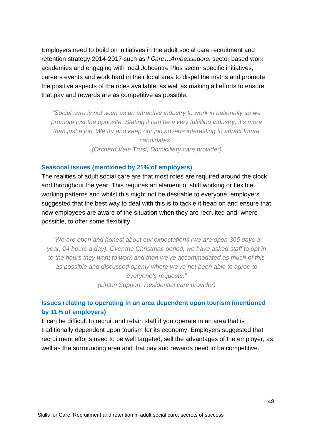Employers need to build on initiatives in the adult social care recruitment and retention strategy 2014-2017 such as *I Care…Ambassadors*, sector based work academies and engaging with local Jobcentre Plus sector specific initiatives, careers events and work hard in their local area to dispel the myths and promote the positive aspects of the roles available, as well as making all efforts to ensure that pay and rewards are as competitive as possible.

*"Social care is not seen as an attractive industry to work in nationally so we promote just the opposite. Stating it can be a very fulfilling industry, it's more than just a job. We try and keep our job adverts interesting to attract future candidates." (Orchard Vale Trust, Domiciliary care provider)*

#### **Seasonal issues (mentioned by 21% of employers)**

The realities of adult social care are that most roles are required around the clock and throughout the year. This requires an element of shift working or flexible working patterns and whilst this might not be desirable to everyone, employers suggested that the best way to deal with this is to tackle it head on and ensure that new employees are aware of the situation when they are recruited and, where possible, to offer some flexibility.

*"We are open and honest about our expectations (we are open 365 days a year, 24 hours a day). Over the Christmas period, we have asked staff to opt in to the hours they want to work and then we've accommodated as much of this as possible and discussed openly where we've not been able to agree to everyone's requests." (Linton Support, Residential care provider)*

### **Issues relating to operating in an area dependent upon tourism (mentioned by 11% of employers)**

It can be difficult to recruit and retain staff if you operate in an area that is traditionally dependent upon tourism for its economy. Employers suggested that recruitment efforts need to be well targeted, sell the advantages of the employer, as well as the surrounding area and that pay and rewards need to be competitive.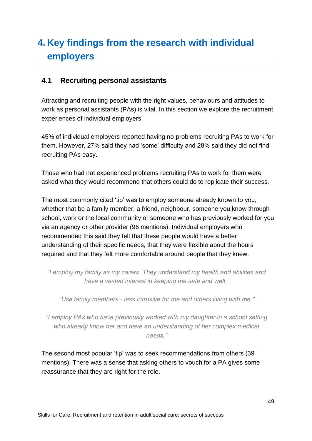## <span id="page-48-0"></span>**4. Key findings from the research with individual employers**

### <span id="page-48-1"></span>**4.1 Recruiting personal assistants**

Attracting and recruiting people with the right values, behaviours and attitudes to work as personal assistants (PAs) is vital. In this section we explore the recruitment experiences of individual employers.

45% of individual employers reported having no problems recruiting PAs to work for them. However, 27% said they had 'some' difficulty and 28% said they did not find recruiting PAs easy.

Those who had not experienced problems recruiting PAs to work for them were asked what they would recommend that others could do to replicate their success.

The most commonly cited 'tip' was to employ someone already known to you, whether that be a family member, a friend, neighbour, someone you know through school, work or the local community or someone who has previously worked for you via an agency or other provider (96 mentions). Individual employers who recommended this said they felt that these people would have a better understanding of their specific needs, that they were flexible about the hours required and that they felt more comfortable around people that they knew.

*"I employ my family as my carers. They understand my health and abilities and have a vested interest in keeping me safe and well."*

*"Use family members - less intrusive for me and others living with me."*

*"I employ PAs who have previously worked with my daughter in a school setting who already know her and have an understanding of her complex medical needs."*

The second most popular 'tip' was to seek recommendations from others (39 mentions). There was a sense that asking others to vouch for a PA gives some reassurance that they are right for the role.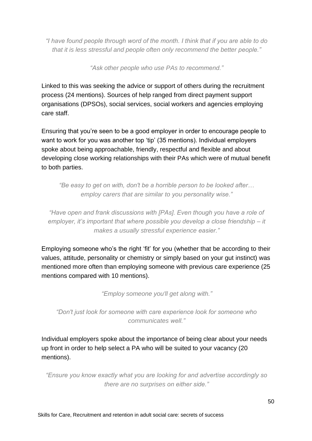*"I have found people through word of the month. I think that if you are able to do that it is less stressful and people often only recommend the better people."*

*"Ask other people who use PAs to recommend."*

Linked to this was seeking the advice or support of others during the recruitment process (24 mentions). Sources of help ranged from direct payment support organisations (DPSOs), social services, social workers and agencies employing care staff.

Ensuring that you're seen to be a good employer in order to encourage people to want to work for you was another top 'tip' (35 mentions). Individual employers spoke about being approachable, friendly, respectful and flexible and about developing close working relationships with their PAs which were of mutual benefit to both parties.

*"Be easy to get on with, don't be a horrible person to be looked after… employ carers that are similar to you personality wise."*

*"Have open and frank discussions with [PAs]. Even though you have a role of employer, it's important that where possible you develop a close friendship – it makes a usually stressful experience easier."*

Employing someone who's the right 'fit' for you (whether that be according to their values, attitude, personality or chemistry or simply based on your gut instinct) was mentioned more often than employing someone with previous care experience (25 mentions compared with 10 mentions).

*"Employ someone you'll get along with."*

*"Don't just look for someone with care experience look for someone who communicates well."*

Individual employers spoke about the importance of being clear about your needs up front in order to help select a PA who will be suited to your vacancy (20 mentions).

*"Ensure you know exactly what you are looking for and advertise accordingly so there are no surprises on either side."*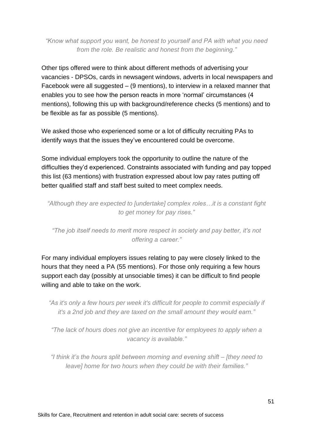*"Know what support you want, be honest to yourself and PA with what you need from the role. Be realistic and honest from the beginning."*

Other tips offered were to think about different methods of advertising your vacancies - DPSOs, cards in newsagent windows, adverts in local newspapers and Facebook were all suggested – (9 mentions), to interview in a relaxed manner that enables you to see how the person reacts in more 'normal' circumstances (4 mentions), following this up with background/reference checks (5 mentions) and to be flexible as far as possible (5 mentions).

We asked those who experienced some or a lot of difficulty recruiting PAs to identify ways that the issues they've encountered could be overcome.

Some individual employers took the opportunity to outline the nature of the difficulties they'd experienced. Constraints associated with funding and pay topped this list (63 mentions) with frustration expressed about low pay rates putting off better qualified staff and staff best suited to meet complex needs.

*"Although they are expected to [undertake] complex roles…it is a constant fight to get money for pay rises."*

*"The job itself needs to merit more respect in society and pay better, it's not offering a career."*

For many individual employers issues relating to pay were closely linked to the hours that they need a PA (55 mentions). For those only requiring a few hours support each day (possibly at unsociable times) it can be difficult to find people willing and able to take on the work.

*"As it's only a few hours per week it's difficult for people to commit especially if it's a 2nd job and they are taxed on the small amount they would earn."*

*"The lack of hours does not give an incentive for employees to apply when a vacancy is available."*

*"I think it's the hours split between morning and evening shift – [they need to leave] home for two hours when they could be with their families."*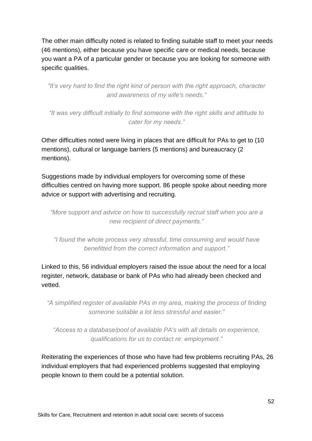The other main difficulty noted is related to finding suitable staff to meet your needs (46 mentions), either because you have specific care or medical needs, because you want a PA of a particular gender or because you are looking for someone with specific qualities.

*"It's very hard to find the right kind of person with the right approach, character and awareness of my wife's needs."*

*"It was very difficult initially to find someone with the right skills and attitude to cater for my needs."*

Other difficulties noted were living in places that are difficult for PAs to get to (10 mentions), cultural or language barriers (5 mentions) and bureaucracy (2 mentions).

Suggestions made by individual employers for overcoming some of these difficulties centred on having more support. 86 people spoke about needing more advice or support with advertising and recruiting.

*"More support and advice on how to successfully recruit staff when you are a new recipient of direct payments."*

*"I found the whole process very stressful, time consuming and would have benefitted from the correct information and support."*

Linked to this, 56 individual employers raised the issue about the need for a local register, network, database or bank of PAs who had already been checked and vetted.

*"A simplified register of available PAs in my area, making the process of finding someone suitable a lot less stressful and easier."*

*"Access to a database/pool of available PA's with all details on experience, qualifications for us to contact re: employment."*

Reiterating the experiences of those who have had few problems recruiting PAs, 26 individual employers that had experienced problems suggested that employing people known to them could be a potential solution.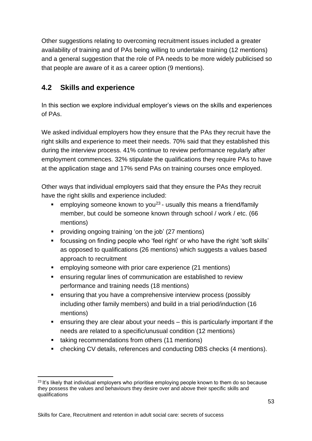Other suggestions relating to overcoming recruitment issues included a greater availability of training and of PAs being willing to undertake training (12 mentions) and a general suggestion that the role of PA needs to be more widely publicised so that people are aware of it as a career option (9 mentions).

### <span id="page-52-0"></span>**4.2 Skills and experience**

In this section we explore individual employer's views on the skills and experiences of PAs.

We asked individual employers how they ensure that the PAs they recruit have the right skills and experience to meet their needs. 70% said that they established this during the interview process. 41% continue to review performance regularly after employment commences. 32% stipulate the qualifications they require PAs to have at the application stage and 17% send PAs on training courses once employed.

Other ways that individual employers said that they ensure the PAs they recruit have the right skills and experience included:

- **E** employing someone known to you<sup>23</sup> usually this means a friend/family member, but could be someone known through school / work / etc. (66 mentions)
- providing ongoing training 'on the job' (27 mentions)
- focussing on finding people who 'feel right' or who have the right 'soft skills' as opposed to qualifications (26 mentions) which suggests a values based approach to recruitment
- employing someone with prior care experience (21 mentions)
- ensuring regular lines of communication are established to review performance and training needs (18 mentions)
- ensuring that you have a comprehensive interview process (possibly including other family members) and build in a trial period/induction (16 mentions)
- ensuring they are clear about your needs this is particularly important if the needs are related to a specific/unusual condition (12 mentions)
- taking recommendations from others (11 mentions)
- checking CV details, references and conducting DBS checks (4 mentions).

<sup>&</sup>lt;sup>23</sup> It's likely that individual employers who prioritise employing people known to them do so because they possess the values and behaviours they desire over and above their specific skills and qualifications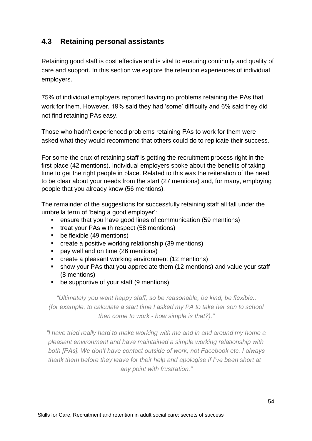### <span id="page-53-0"></span>**4.3 Retaining personal assistants**

Retaining good staff is cost effective and is vital to ensuring continuity and quality of care and support. In this section we explore the retention experiences of individual employers.

75% of individual employers reported having no problems retaining the PAs that work for them. However, 19% said they had 'some' difficulty and 6% said they did not find retaining PAs easy.

Those who hadn't experienced problems retaining PAs to work for them were asked what they would recommend that others could do to replicate their success.

For some the crux of retaining staff is getting the recruitment process right in the first place (42 mentions). Individual employers spoke about the benefits of taking time to get the right people in place. Related to this was the reiteration of the need to be clear about your needs from the start (27 mentions) and, for many, employing people that you already know (56 mentions).

The remainder of the suggestions for successfully retaining staff all fall under the umbrella term of 'being a good employer':

- ensure that you have good lines of communication (59 mentions)
- treat your PAs with respect (58 mentions)
- be flexible (49 mentions)
- create a positive working relationship (39 mentions)
- pay well and on time (26 mentions)
- create a pleasant working environment (12 mentions)
- show your PAs that you appreciate them (12 mentions) and value your staff (8 mentions)
- be supportive of your staff (9 mentions).

*"Ultimately you want happy staff, so be reasonable, be kind, be flexible.. (for example, to calculate a start time I asked my PA to take her son to school then come to work - how simple is that?)."*

*"I have tried really hard to make working with me and in and around my home a pleasant environment and have maintained a simple working relationship with both [PAs]. We don't have contact outside of work, not Facebook etc. I always thank them before they leave for their help and apologise if I've been short at any point with frustration."*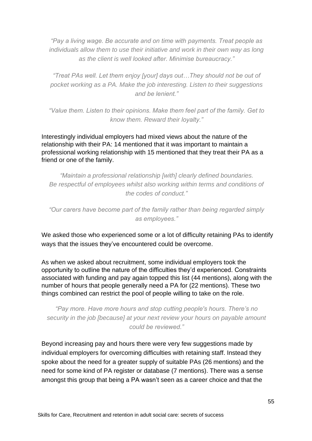*"Pay a living wage. Be accurate and on time with payments. Treat people as individuals allow them to use their initiative and work in their own way as long as the client is well looked after. Minimise bureaucracy."*

*"Treat PAs well. Let them enjoy [your] days out…They should not be out of pocket working as a PA. Make the job interesting. Listen to their suggestions and be lenient."*

*"Value them. Listen to their opinions. Make them feel part of the family. Get to know them. Reward their loyalty."*

Interestingly individual employers had mixed views about the nature of the relationship with their PA: 14 mentioned that it was important to maintain a professional working relationship with 15 mentioned that they treat their PA as a friend or one of the family.

*"Maintain a professional relationship [with] clearly defined boundaries. Be respectful of employees whilst also working within terms and conditions of the codes of conduct."*

*"Our carers have become part of the family rather than being regarded simply as employees."*

We asked those who experienced some or a lot of difficulty retaining PAs to identify ways that the issues they've encountered could be overcome.

As when we asked about recruitment, some individual employers took the opportunity to outline the nature of the difficulties they'd experienced. Constraints associated with funding and pay again topped this list (44 mentions), along with the number of hours that people generally need a PA for (22 mentions). These two things combined can restrict the pool of people willing to take on the role.

*"Pay more. Have more hours and stop cutting people's hours. There's no security in the job [because] at your next review your hours on payable amount could be reviewed."*

Beyond increasing pay and hours there were very few suggestions made by individual employers for overcoming difficulties with retaining staff. Instead they spoke about the need for a greater supply of suitable PAs (26 mentions) and the need for some kind of PA register or database (7 mentions). There was a sense amongst this group that being a PA wasn't seen as a career choice and that the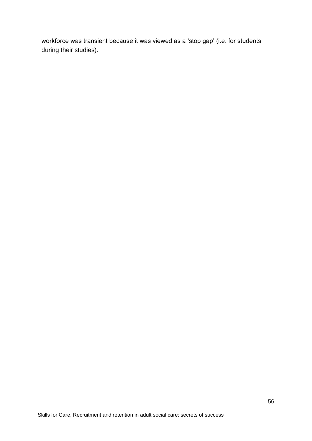workforce was transient because it was viewed as a 'stop gap' (i.e. for students during their studies).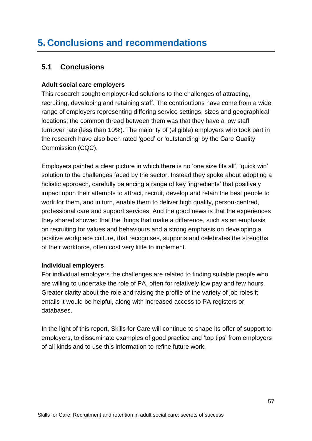## <span id="page-56-0"></span>**5. Conclusions and recommendations**

### <span id="page-56-1"></span>**5.1 Conclusions**

### **Adult social care employers**

This research sought employer-led solutions to the challenges of attracting, recruiting, developing and retaining staff. The contributions have come from a wide range of employers representing differing service settings, sizes and geographical locations; the common thread between them was that they have a low staff turnover rate (less than 10%). The majority of (eligible) employers who took part in the research have also been rated 'good' or 'outstanding' by the Care Quality Commission (CQC).

Employers painted a clear picture in which there is no 'one size fits all', 'quick win' solution to the challenges faced by the sector. Instead they spoke about adopting a holistic approach, carefully balancing a range of key 'ingredients' that positively impact upon their attempts to attract, recruit, develop and retain the best people to work for them, and in turn, enable them to deliver high quality, person-centred, professional care and support services. And the good news is that the experiences they shared showed that the things that make a difference, such as an emphasis on recruiting for values and behaviours and a strong emphasis on developing a positive workplace culture, that recognises, supports and celebrates the strengths of their workforce, often cost very little to implement.

### **Individual employers**

For individual employers the challenges are related to finding suitable people who are willing to undertake the role of PA, often for relatively low pay and few hours. Greater clarity about the role and raising the profile of the variety of job roles it entails it would be helpful, along with increased access to PA registers or databases.

In the light of this report, Skills for Care will continue to shape its offer of support to employers, to disseminate examples of good practice and 'top tips' from employers of all kinds and to use this information to refine future work.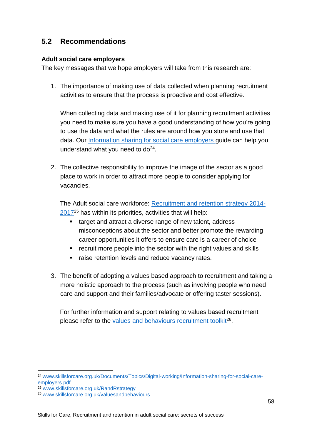### **5.2 Recommendations**

### **Adult social care employers**

The key messages that we hope employers will take from this research are:

1. The importance of making use of data collected when planning recruitment activities to ensure that the process is proactive and cost effective.

When collecting data and making use of it for planning recruitment activities you need to make sure you have a good understanding of how you're going to use the data and what the rules are around how you store and use that data. Our [Information sharing for social care employers g](http://www.skillsforcare.org.uk/Documents/Topics/Digital-working/Information-sharing-for-social-care-employers.pdf)uide can help you understand what you need to  $do<sup>24</sup>$ .

2. The collective responsibility to improve the image of the sector as a good place to work in order to attract more people to consider applying for vacancies.

The Adult social care workforce: [Recruitment and retention strategy 2014-](http://www.skillsforcare.org.uk/Finding-and-keeping-workers/Documents/R%26R-strategy-2014-2017.pdf)  $2017<sup>25</sup>$  $2017<sup>25</sup>$  has within its priorities, activities that will help:

- target and attract a diverse range of new talent, address misconceptions about the sector and better promote the rewarding career opportunities it offers to ensure care is a career of choice
- recruit more people into the sector with the right values and skills
- raise retention levels and reduce vacancy rates.
- 3. The benefit of adopting a values based approach to recruitment and taking a more holistic approach to the process (such as involving people who need care and support and their families/advocate or offering taster sessions).

For further information and support relating to values based recruitment please refer to the values and behaviours [recruitment](http://www.skillsforcare.org.uk/values) toolkit<sup>26</sup>.

<sup>24</sup> [www.skillsforcare.org.uk/Documents/Topics/Digital-working/Information-sharing-for-social-care](http://www.skillsforcare.org.uk/Documents/Topics/Digital-working/Information-sharing-for-social-care-employers.pdf)[employers.pdf](http://www.skillsforcare.org.uk/Documents/Topics/Digital-working/Information-sharing-for-social-care-employers.pdf)

<sup>25</sup> [www.skillsforcare.org.uk/RandRstrategy](http://www.skillsforcare.org.uk/RandRstrategy)

<sup>26</sup> [www.skillsforcare.org.uk/valuesandbehaviours](http://www.skillsforcare.org.uk/valuesandbehaviours)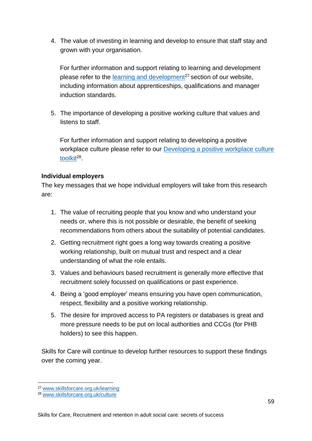4. The value of investing in learning and develop to ensure that staff stay and grown with your organisation.

For further information and support relating to learning and development please refer to the [learning and development](http://www.skillsforcare.org.uk/Learning-development/Learning-and-development.aspx)<sup>27</sup> section of our website, including information about apprenticeships, qualifications and manager induction standards.

5. The importance of developing a positive working culture that values and listens to staff.

For further information and support relating to developing a positive workplace culture please refer to our [Developing a positive workplace culture](http://www.skillsforcare.org.uk/culture) <u>[toolkit](http://www.skillsforcare.org.uk/culture)<sup>28</sup>.</u>

### **Individual employers**

The key messages that we hope individual employers will take from this research are:

- 1. The value of recruiting people that you know and who understand your needs or, where this is not possible or desirable, the benefit of seeking recommendations from others about the suitability of potential candidates.
- 2. Getting recruitment right goes a long way towards creating a positive working relationship, built on mutual trust and respect and a clear understanding of what the role entails.
- 3. Values and behaviours based recruitment is generally more effective that recruitment solely focussed on qualifications or past experience.
- 4. Being a 'good employer' means ensuring you have open communication, respect, flexibility and a positive working relationship.
- 5. The desire for improved access to PA registers or databases is great and more pressure needs to be put on local authorities and CCGs (for PHB holders) to see this happen.

Skills for Care will continue to develop further resources to support these findings over the coming year.

<sup>27</sup> [www.skillsforcare.org.uk/learning](http://www.skillsforcare.org.uk/learning)

<sup>28</sup> [www.skillsforcare.org.uk/culture](http://www.skillsforcare.org.uk/culture)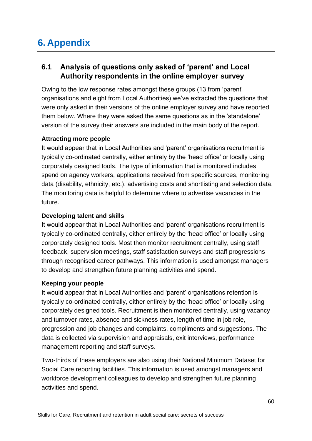## <span id="page-59-0"></span>**6. Appendix**

### <span id="page-59-1"></span>**6.1 Analysis of questions only asked of 'parent' and Local Authority respondents in the online employer survey**

Owing to the low response rates amongst these groups (13 from 'parent' organisations and eight from Local Authorities) we've extracted the questions that were only asked in their versions of the online employer survey and have reported them below. Where they were asked the same questions as in the 'standalone' version of the survey their answers are included in the main body of the report.

#### **Attracting more people**

It would appear that in Local Authorities and 'parent' organisations recruitment is typically co-ordinated centrally, either entirely by the 'head office' or locally using corporately designed tools. The type of information that is monitored includes spend on agency workers, applications received from specific sources, monitoring data (disability, ethnicity, etc.), advertising costs and shortlisting and selection data. The monitoring data is helpful to determine where to advertise vacancies in the future.

#### **Developing talent and skills**

It would appear that in Local Authorities and 'parent' organisations recruitment is typically co-ordinated centrally, either entirely by the 'head office' or locally using corporately designed tools. Most then monitor recruitment centrally, using staff feedback, supervision meetings, staff satisfaction surveys and staff progressions through recognised career pathways. This information is used amongst managers to develop and strengthen future planning activities and spend.

### **Keeping your people**

It would appear that in Local Authorities and 'parent' organisations retention is typically co-ordinated centrally, either entirely by the 'head office' or locally using corporately designed tools. Recruitment is then monitored centrally, using vacancy and turnover rates, absence and sickness rates, length of time in job role, progression and job changes and complaints, compliments and suggestions. The data is collected via supervision and appraisals, exit interviews, performance management reporting and staff surveys.

Two-thirds of these employers are also using their National Minimum Dataset for Social Care reporting facilities. This information is used amongst managers and workforce development colleagues to develop and strengthen future planning activities and spend.